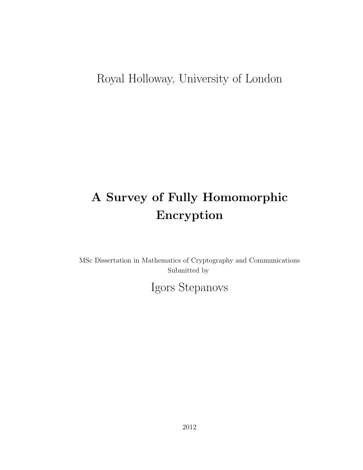### Royal Holloway, University of London

## **A Survey of Fully Homomorphic Encryption**

MSc Dissertation in Mathematics of Cryptography and Communications Submitted by

Igors Stepanovs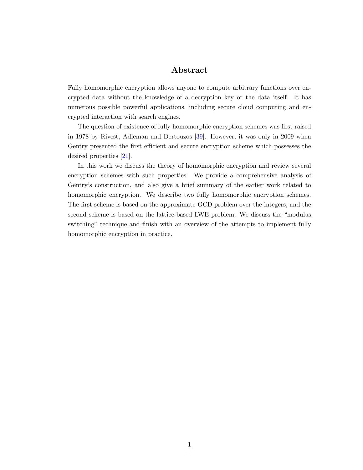#### **Abstract**

<span id="page-1-0"></span>Fully homomorphic encryption allows anyone to compute arbitrary functions over encrypted data without the knowledge of a decryption key or the data itself. It has numerous possible powerful applications, including secure cloud computing and encrypted interaction with search engines.

The question of existence of fully homomorphic encryption schemes was first raised in 1978 by Rivest, Adleman and Dertouzos [\[39](#page-56-0)]. However, it was only in 2009 when Gentry presented the first efficient and secure encryption scheme which possesses the desired properties [[21\]](#page-54-0).

In this work we discuss the theory of homomorphic encryption and review several encryption schemes with such properties. We provide a comprehensive analysis of Gentry's construction, and also give a brief summary of the earlier work related to homomorphic encryption. We describe two fully homomorphic encryption schemes. The first scheme is based on the approximate-GCD problem over the integers, and the second scheme is based on the lattice-based LWE problem. We discuss the "modulus switching" technique and finish with an overview of the attempts to implement fully homomorphic encryption in practice.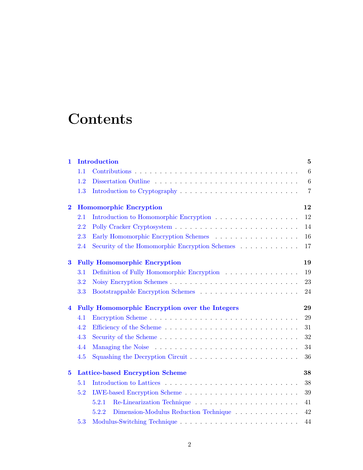## **Contents**

| 1.             | <b>Introduction</b>                                         |                                                                                                 |                |  |
|----------------|-------------------------------------------------------------|-------------------------------------------------------------------------------------------------|----------------|--|
|                | 1.1                                                         |                                                                                                 | 6              |  |
|                | 1.2                                                         |                                                                                                 | 6              |  |
|                | 1.3                                                         |                                                                                                 | $\overline{7}$ |  |
| $\bf{2}$       |                                                             | <b>Homomorphic Encryption</b>                                                                   |                |  |
|                | 2.1                                                         | Introduction to Homomorphic Encryption                                                          | 12             |  |
|                | 2.2                                                         |                                                                                                 | 14             |  |
|                | 2.3                                                         |                                                                                                 | 16             |  |
|                | 2.4                                                         | Security of the Homomorphic Encryption Schemes                                                  | 17             |  |
| $\bf{3}$       | 19<br><b>Fully Homomorphic Encryption</b>                   |                                                                                                 |                |  |
|                | 3.1                                                         | Definition of Fully Homomorphic Encryption                                                      | 19             |  |
|                | 3.2                                                         |                                                                                                 | 23             |  |
|                | 3.3                                                         |                                                                                                 | 24             |  |
| $\overline{4}$ | <b>Fully Homomorphic Encryption over the Integers</b><br>29 |                                                                                                 |                |  |
|                | 4.1                                                         | Encryption Scheme                                                                               | 29             |  |
|                | 4.2                                                         |                                                                                                 | 31             |  |
|                | 4.3                                                         | Security of the Scheme                                                                          | 32             |  |
|                | 4.4                                                         |                                                                                                 | 34             |  |
|                | 4.5                                                         |                                                                                                 | 36             |  |
| $\bf{5}$       | <b>Lattice-based Encryption Scheme</b>                      |                                                                                                 |                |  |
|                | 5.1                                                         |                                                                                                 | 38             |  |
|                | 5.2                                                         |                                                                                                 | 39             |  |
|                |                                                             | 5.2.1                                                                                           | 41             |  |
|                |                                                             | Dimension-Modulus Reduction Technique $\;\ldots\; \ldots\; \ldots\; \ldots\; \ldots\;$<br>5.2.2 | 42             |  |
|                | 5.3                                                         |                                                                                                 | 44             |  |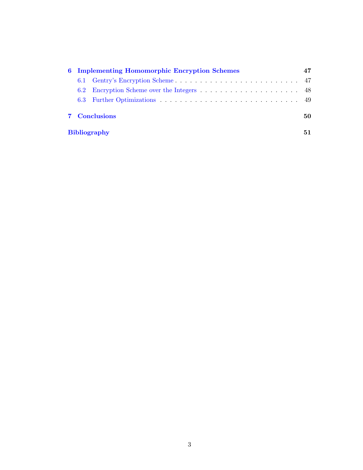| 6 Implementing Homomorphic Encryption Schemes |  |     |
|-----------------------------------------------|--|-----|
| 6.1                                           |  |     |
|                                               |  |     |
|                                               |  |     |
| <b>7</b> Conclusions                          |  | 50. |
| <b>Bibliography</b>                           |  |     |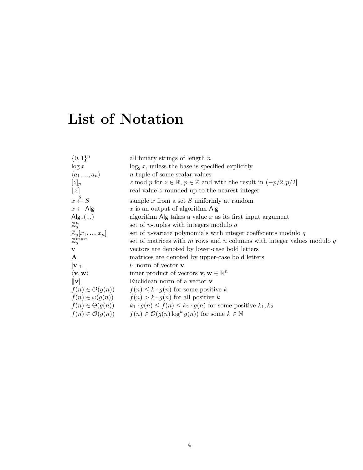## **List of Notation**

| $\{0,1\}^n$                                                                                     | all binary strings of length $n$                                                                          |
|-------------------------------------------------------------------------------------------------|-----------------------------------------------------------------------------------------------------------|
| $\log x$                                                                                        | $\log_2 x$ , unless the base is specified explicitly                                                      |
| $\langle a_1,,a_n\rangle$                                                                       | $n$ -tuple of some scalar values                                                                          |
| $[z]_p$                                                                                         | z mod p for $z \in \mathbb{R}$ , $p \in \mathbb{Z}$ and with the result in $(-p/2, p/2]$                  |
| z                                                                                               | real value z rounded up to the nearest integer                                                            |
| $x \stackrel{\$}{\leftarrow} S$                                                                 | sample $x$ from a set $S$ uniformly at random                                                             |
| $x \leftarrow$ Alg                                                                              | $x$ is an output of algorithm Alg                                                                         |
| $\mathsf{Alg}_x()$                                                                              | algorithm Alg takes a value $x$ as its first input argument                                               |
| $\mathbb{Z}_q^n$                                                                                | set of <i>n</i> -tuples with integers modulo $q$                                                          |
|                                                                                                 | set of <i>n</i> -variate polynomials with integer coefficients modulo $q$                                 |
| $\label{eq:zq} \begin{array}{l} \mathbb{Z}_q[x_1,,x_n]\\ \mathbb{Z}_q^{m \times n} \end{array}$ | set of matrices with $m$ rows and $n$ columns with integer values modulo $q$                              |
| $\mathbf v$                                                                                     | vectors are denoted by lower-case bold letters                                                            |
| $\mathbf{A}$                                                                                    | matrices are denoted by upper-case bold letters                                                           |
| $ \mathbf{v} _1$                                                                                | $l_1$ -norm of vector <b>v</b>                                                                            |
| $\langle \mathbf{v}, \mathbf{w} \rangle$                                                        | inner product of vectors $\mathbf{v}, \mathbf{w} \in \mathbb{R}^n$                                        |
| $\ \mathbf{v}\ $                                                                                | Euclidean norm of a vector $\bf{v}$                                                                       |
|                                                                                                 | $f(n) \in \mathcal{O}(g(n))$ $f(n) \leq k \cdot g(n)$ for some positive k                                 |
|                                                                                                 | $f(n) \in \omega(g(n))$ $f(n) > k \cdot g(n)$ for all positive k                                          |
|                                                                                                 | $f(n) \in \Theta(g(n))$ $k_1 \cdot g(n) \le f(n) \le k_2 \cdot g(n)$ for some positive $k_1, k_2$         |
|                                                                                                 | $f(n) \in \tilde{\mathcal{O}}(g(n))$ $f(n) \in \mathcal{O}(g(n) \log^k g(n))$ for some $k \in \mathbb{N}$ |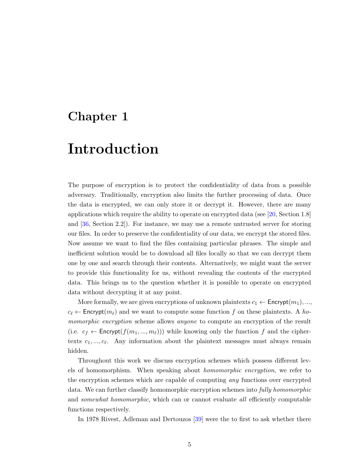### <span id="page-5-1"></span><span id="page-5-0"></span>**Chapter 1**

## **Introduction**

The purpose of encryption is to protect the confidentiality of data from a possible adversary. Traditionally, encryption also limits the further processing of data. Once the data is encrypted, we can only store it or decrypt it. However, there are many applications which require the ability to operate on encrypted data (see [[20,](#page-54-1) Section 1.8] and [[36,](#page-55-0) Section 2.2]). For instance, we may use a remote untrusted server for storing our files. In order to preserve the confidentiality of our data, we encrypt the stored files. Now assume we want to find the files containing particular phrases. The simple and inefficient solution would be to download all files locally so that we can decrypt them one by one and search through their contents. Alternatively, we might want the server to provide this functionality for us, without revealing the contents of the encrypted data. This brings us to the question whether it is possible to operate on encrypted data without decrypting it at any point.

More formally, we are given encryptions of unknown plaintexts  $c_1 \leftarrow$  Encrypt $(m_1), ...,$  $c_{\ell} \leftarrow$  Encrypt $(m_{\ell})$  and we want to compute some function f on these plaintexts. A *homomorphic encryption* scheme allows *anyone* to compute an encryption of the result (i.e.  $c_f \leftarrow$  Encrypt $(f(m_1, ..., m_\ell))$ ) while knowing only the function f and the ciphertexts  $c_1, ..., c_\ell$ . Any information about the plaintext messages must always remain hidden.

Throughout this work we discuss encryption schemes which possess different levels of homomorphism. When speaking about *homomorphic encryption*, we refer to the encryption schemes which are capable of computing *any* functions over encrypted data. We can further classify homomorphic encryption schemes into *fully homomorphic* and *somewhat homomorphic*, which can or cannot evaluate *all* efficiently computable functions respectively.

In 1978 Rivest, Adleman and Dertouzos [[39\]](#page-56-0) were the to first to ask whether there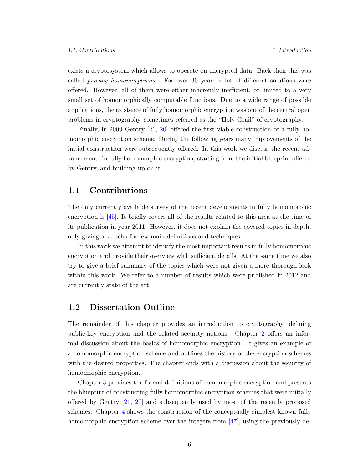<span id="page-6-2"></span>exists a cryptosystem which allows to operate on encrypted data. Back then this was called *privacy homomorphisms*. For over 30 years a lot of different solutions were offered. However, all of them were either inherently inefficient, or limited to a very small set of homomorphically computable functions. Due to a wide range of possible applications, the existence of fully homomorphic encryption was one of the central open problems in cryptography, sometimes referred as the "Holy Grail" of cryptography.

Finally, in 2009 Gentry [\[21](#page-54-0), [20](#page-54-1)] offered the first viable construction of a fully homomorphic encryption scheme. During the following years many improvements of the initial construction were subsequently offered. In this work we discuss the recent advancements in fully homomorphic encryption, starting from the initial blueprint offered by Gentry, and building up on it.

#### <span id="page-6-0"></span>**1.1 Contributions**

The only currently available survey of the recent developments in fully homomorphic encryption is [[45\]](#page-56-1). It briefly covers all of the results related to this area at the time of its publication in year 2011. However, it does not explain the covered topics in depth, only giving a sketch of a few main definitions and techniques.

In this work we attempt to identify the most important results in fully homomorphic encryption and provide their overview with sufficient details. At the same time we also try to give a brief summary of the topics which were not given a more thorough look within this work. We refer to a number of results which were published in 2012 and are currently state of the art.

#### <span id="page-6-1"></span>**1.2 Dissertation Outline**

The remainder of this chapter provides an introduction to cryptography, defining public-key encryption and the related security notions. Chapter [2](#page-12-0) offers an informal discussion about the basics of homomorphic encryption. It gives an example of a homomorphic encryption scheme and outlines the history of the encryption schemes with the desired properties. The chapter ends with a discussion about the security of homomorphic encryption.

Chapter [3](#page-19-0) provides the formal definitions of homomorphic encryption and presents the blueprint of constructing fully homomorphic encryption schemes that were initially offered by Gentry [[21,](#page-54-0) [20\]](#page-54-1) and subsequently used by most of the recently proposed schemes. Chapter [4](#page-29-0) shows the construction of the conceptually simplest known fully homomorphic encryption scheme over the integers from [[47\]](#page-56-2), using the previously de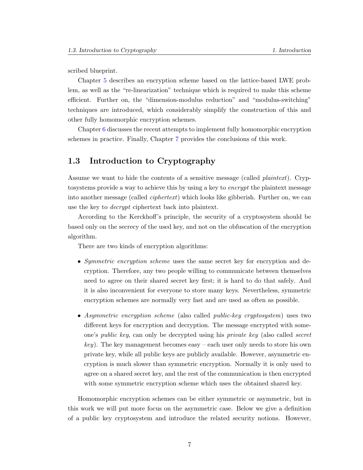scribed blueprint.

Chapter [5](#page-38-0) describes an encryption scheme based on the lattice-based LWE problem, as well as the "re-linearization" technique which is required to make this scheme efficient. Further on, the "dimension-modulus reduction" and "modulus-switching" techniques are introduced, which considerably simplify the construction of this and other fully homomorphic encryption schemes.

Chapter [6](#page-47-0) discusses the recent attempts to implement fully homomorphic encryption schemes in practice. Finally, Chapter [7](#page-50-0) provides the conclusions of this work.

#### <span id="page-7-0"></span>**1.3 Introduction to Cryptography**

Assume we want to hide the contents of a sensitive message (called *plaintext*). Cryptosystems provide a way to achieve this by using a key to *encrypt* the plaintext message into another message (called *ciphertext*) which looks like gibberish. Further on, we can use the key to *decrypt* ciphertext back into plaintext.

According to the Kerckhoff's principle, the security of a cryptosystem should be based only on the secrecy of the used key, and not on the obfuscation of the encryption algorithm.

There are two kinds of encryption algorithms:

- *• Symmetric encryption scheme* uses the same secret key for encryption and decryption. Therefore, any two people willing to communicate between themselves need to agree on their shared secret key first; it is hard to do that safely. And it is also inconvenient for everyone to store many keys. Nevertheless, symmetric encryption schemes are normally very fast and are used as often as possible.
- *• Asymmetric encryption scheme* (also called *public-key cryptosystem*) uses two different keys for encryption and decryption. The message encrypted with someone's *public key*, can only be decrypted using his *private key* (also called *secret key*). The key management becomes easy – each user only needs to store his own private key, while all public keys are publicly available. However, asymmetric encryption is much slower than symmetric encryption. Normally it is only used to agree on a shared secret key, and the rest of the communication is then encrypted with some symmetric encryption scheme which uses the obtained shared key.

Homomorphic encryption schemes can be either symmetric or asymmetric, but in this work we will put more focus on the asymmetric case. Below we give a definition of a public key cryptosystem and introduce the related security notions. However,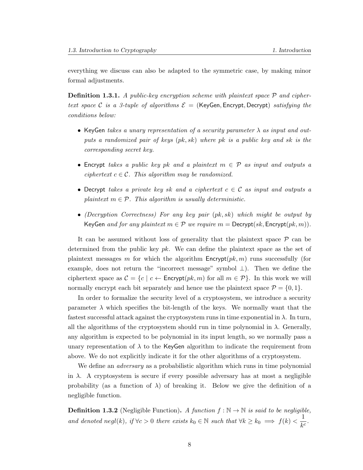everything we discuss can also be adapted to the symmetric case, by making minor formal adjustments.

**Definition 1.3.1.** *A public-key encryption scheme with plaintext space P and ciphertext space C is a 3-tuple of algorithms*  $\mathcal{E} =$  (KeyGen, Encrypt, Decrypt) *satisfying the conditions below:*

- *•* KeyGen *takes a unary representation of a security parameter λ as input and outputs a randomized pair of keys* (*pk, sk*) *where pk is a public key and sk is the corresponding secret key.*
- *•* Encrypt *takes a public key pk and a plaintext m ∈ P as input and outputs a ciphertext*  $c \in \mathcal{C}$ *. This algorithm may be randomized.*
- *•* Decrypt *takes a private key sk and a ciphertext c ∈ C as input and outputs a plaintext*  $m \in \mathcal{P}$ . This algorithm is usually deterministic.
- *• (Decryption Correctness) For any key pair* (*pk, sk*) *which might be output by* KeyGen *and for any plaintext*  $m \in \mathcal{P}$  *we require*  $m = \text{Decrypt}(sk, \text{Encrypt}(pk, m))$ *.*

It can be assumed without loss of generality that the plaintext space  $P$  can be determined from the public key *pk*. We can define the plaintext space as the set of plaintext messages *m* for which the algorithm Encrypt(*pk, m*) runs successfully (for example, does not return the "incorrect message" symbol *⊥*). Then we define the ciphertext space as  $C = \{c \mid c \leftarrow \text{Property}(pk, m) \text{ for all } m \in \mathcal{P}\}\.$  In this work we will normally encrypt each bit separately and hence use the plaintext space  $P = \{0, 1\}$ .

In order to formalize the security level of a cryptosystem, we introduce a security parameter  $\lambda$  which specifies the bit-length of the keys. We normally want that the fastest successful attack against the cryptosystem runs in time exponential in  $\lambda$ . In turn, all the algorithms of the cryptosystem should run in time polynomial in  $\lambda$ . Generally, any algorithm is expected to be polynomial in its input length, so we normally pass a unary representation of  $\lambda$  to the KeyGen algorithm to indicate the requirement from above. We do not explicitly indicate it for the other algorithms of a cryptosystem.

We define an *adversary* as a probabilistic algorithm which runs in time polynomial in  $\lambda$ . A cryptosystem is secure if every possible adversary has at most a negligible probability (as a function of  $\lambda$ ) of breaking it. Below we give the definition of a negligible function.

**Definition 1.3.2** (Negligible Function). *A function*  $f : \mathbb{N} \to \mathbb{N}$  *is said to be negligible, and denoted negl*(*k*)*, if*  $∀c > 0$  *there exists*  $k_0 ∈ ℕ$  *such that*  $∀k ≥ k_0 ⇒ f(k) < \frac{1}{k_0}$  $\frac{1}{k^c}$ .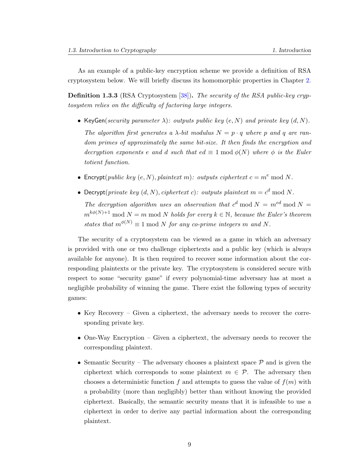<span id="page-9-0"></span>As an example of a public-key encryption scheme we provide a definition of RSA cryptosystem below. We will briefly discuss its homomorphic properties in Chapter [2.](#page-12-0)

**Definition 1.3.3** (RSA Cryptosystem [[38\]](#page-55-1))**.** *The security of the RSA public-key cryptosystem relies on the difficulty of factoring large integers.*

- KeyGen(*security parameter*  $\lambda$ )*: outputs public key* (*e, N*) *and private key* (*d, N*)*. The algorithm first generates a*  $\lambda$ -bit modulus  $N = p \cdot q$  where p and q are ran*dom primes of approximately the same bit-size. It then finds the encryption and decryption exponents e and d such that*  $ed \equiv 1 \mod \phi(N)$  *where*  $\phi$  *is the Euler totient function.*
- Encrypt(*public key* (*e, N*)*, plaintext m*)*: outputs ciphertext*  $c = m^e \mod N$ .
- Decrypt(*private key*  $(d, N)$ *, ciphertext c): outputs plaintext*  $m = c^d \mod N$ *.*

*The decryption algorithm uses an observation that*  $c^d \text{ mod } N = m^{ed} \text{ mod } N =$  $m^{k\phi(N)+1}$  mod *N* = *m* mod *N holds for every*  $k \in \mathbb{N}$ *, because the Euler's theorem states that*  $m^{\phi(N)} \equiv 1 \mod N$  *for any co-prime integers m and N.* 

The security of a cryptosystem can be viewed as a game in which an adversary is provided with one or two challenge ciphertexts and a public key (which is always available for anyone). It is then required to recover some information about the corresponding plaintexts or the private key. The cryptosystem is considered secure with respect to some "security game" if every polynomial-time adversary has at most a negligible probability of winning the game. There exist the following types of security games:

- Key Recovery Given a ciphertext, the adversary needs to recover the corresponding private key.
- One-Way Encryption Given a ciphertext, the adversary needs to recover the corresponding plaintext.
- *•* Semantic Security The adversary chooses a plaintext space *P* and is given the ciphertext which corresponds to some plaintext  $m \in \mathcal{P}$ . The adversary then chooses a deterministic function  $f$  and attempts to guess the value of  $f(m)$  with a probability (more than negligibly) better than without knowing the provided ciphertext. Basically, the semantic security means that it is infeasible to use a ciphertext in order to derive any partial information about the corresponding plaintext.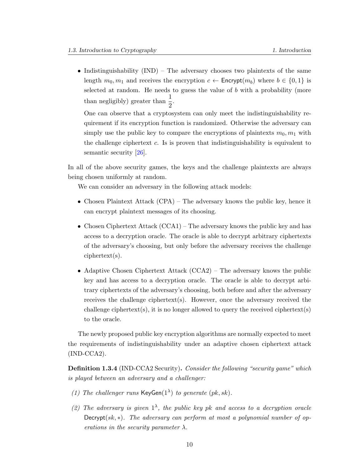<span id="page-10-0"></span>• Indistinguishability (IND) – The adversary chooses two plaintexts of the same length  $m_0, m_1$  and receives the encryption  $c \leftarrow$  Encrypt $(m_b)$  where  $b \in \{0, 1\}$  is selected at random. He needs to guess the value of *b* with a probability (more than negligibly) greater than  $\frac{1}{2}$ .

One can observe that a cryptosystem can only meet the indistinguishability requirement if its encryption function is randomized. Otherwise the adversary can simply use the public key to compare the encryptions of plaintexts  $m_0, m_1$  with the challenge ciphertext *c*. Is is proven that indistinguishability is equivalent to semantic security [[26\]](#page-54-2).

In all of the above security games, the keys and the challenge plaintexts are always being chosen uniformly at random.

We can consider an adversary in the following attack models:

- Chosen Plaintext Attack (CPA) The adversary knows the public key, hence it can encrypt plaintext messages of its choosing.
- Chosen Ciphertext Attack (CCA1) The adversary knows the public key and has access to a decryption oracle. The oracle is able to decrypt arbitrary ciphertexts of the adversary's choosing, but only before the adversary receives the challenge ciphertext(s).
- Adaptive Chosen Ciphertext Attack (CCA2) The adversary knows the public key and has access to a decryption oracle. The oracle is able to decrypt arbitrary ciphertexts of the adversary's choosing, both before and after the adversary receives the challenge ciphertext(s). However, once the adversary received the challenge ciphertext(s), it is no longer allowed to query the received ciphertext(s) to the oracle.

The newly proposed public key encryption algorithms are normally expected to meet the requirements of indistinguishability under an adaptive chosen ciphertext attack (IND-CCA2).

**Definition 1.3.4** (IND-CCA2 Security)**.** *Consider the following "security game" which is played between an adversary and a challenger:*

- *(1)* The challenger runs  $KeyGen(1^{\lambda})$  to generate  $(pk, sk)$ .
- (2) The adversary is given  $1^{\lambda}$ , the public key pk and access to a decryption oracle Decrypt(*sk, ∗*)*. The adversary can perform at most a polynomial number of operations in the security parameter*  $\lambda$ *.*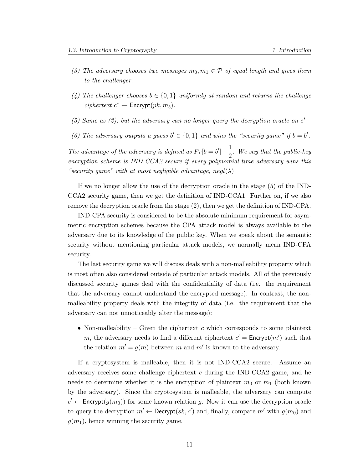- (3) The adversary chooses two messages  $m_0, m_1 \in \mathcal{P}$  of equal length and gives them *to the challenger.*
- *(4) The challenger chooses b ∈ {*0*,* 1*} uniformly at random and returns the challenge*  $ciphertext \, c^* \leftarrow \text{Encrypt}(pk, m_b).$
- *(5) Same as (2), but the adversary can no longer query the decryption oracle on*  $c^*$ .
- *(6) The adversary outputs a guess*  $b' \in \{0, 1\}$  *and wins the "security game" if*  $b = b'$ .

*The advantage of the adversary is defined as*  $Pr[b = b'] - \frac{1}{2}$ 2 *. We say that the public-key encryption scheme is IND-CCA2 secure if every polynomial-time adversary wins this "security game" with at most negligible advantage,*  $\text{negl}(\lambda)$ *.* 

If we no longer allow the use of the decryption oracle in the stage (5) of the IND-CCA2 security game, then we get the definition of IND-CCA1. Further on, if we also remove the decryption oracle from the stage (2), then we get the definition of IND-CPA.

IND-CPA security is considered to be the absolute minimum requirement for asymmetric encryption schemes because the CPA attack model is always available to the adversary due to its knowledge of the public key. When we speak about the semantic security without mentioning particular attack models, we normally mean IND-CPA security.

The last security game we will discuss deals with a non-malleability property which is most often also considered outside of particular attack models. All of the previously discussed security games deal with the confidentiality of data (i.e. the requirement that the adversary cannot understand the encrypted message). In contrast, the nonmalleability property deals with the integrity of data (i.e. the requirement that the adversary can not unnoticeably alter the message):

*•* Non-malleability – Given the ciphertext *c* which corresponds to some plaintext *m*, the adversary needs to find a different ciphertext  $c' =$  Encrypt $(m')$  such that the relation  $m' = g(m)$  between *m* and  $m'$  is known to the adversary.

If a cryptosystem is malleable, then it is not IND-CCA2 secure. Assume an adversary receives some challenge ciphertext *c* during the IND-CCA2 game, and he needs to determine whether it is the encryption of plaintext  $m_0$  or  $m_1$  (both known by the adversary). Since the cryptosystem is malleable, the adversary can compute  $c' \leftarrow$  Encrypt $(g(m_0))$  for some known relation *g*. Now it can use the decryption oracle to query the decryption  $m' \leftarrow$  Decrypt $(sk, c')$  and, finally, compare  $m'$  with  $g(m_0)$  and  $g(m_1)$ , hence winning the security game.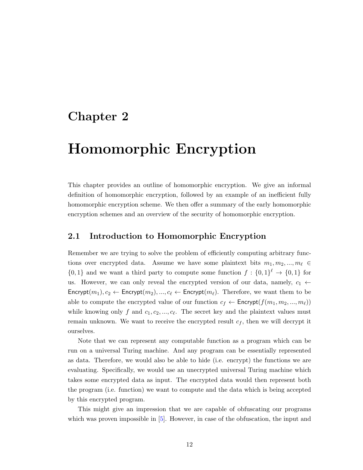### <span id="page-12-2"></span><span id="page-12-0"></span>**Chapter 2**

## **Homomorphic Encryption**

This chapter provides an outline of homomorphic encryption. We give an informal definition of homomorphic encryption, followed by an example of an inefficient fully homomorphic encryption scheme. We then offer a summary of the early homomorphic encryption schemes and an overview of the security of homomorphic encryption.

#### <span id="page-12-1"></span>**2.1 Introduction to Homomorphic Encryption**

Remember we are trying to solve the problem of efficiently computing arbitrary functions over encrypted data. Assume we have some plaintext bits  $m_1, m_2, ..., m_\ell \in$  $\{0,1\}$  and we want a third party to compute some function  $f: \{0,1\}^{\ell} \to \{0,1\}$  for us. However, we can only reveal the encrypted version of our data, namely,  $c_1 \leftarrow$ Encrypt $(m_1), c_2 \leftarrow$  Encrypt $(m_2), ..., c_\ell \leftarrow$  Encrypt $(m_\ell)$ . Therefore, we want them to be able to compute the encrypted value of our function  $c_f \leftarrow$  Encrypt $(f(m_1, m_2, ..., m_\ell))$ while knowing only  $f$  and  $c_1, c_2, ..., c_\ell$ . The secret key and the plaintext values must remain unknown. We want to receive the encrypted result  $c_f$ , then we will decrypt it ourselves.

Note that we can represent any computable function as a program which can be run on a universal Turing machine. And any program can be essentially represented as data. Therefore, we would also be able to hide (i.e. encrypt) the functions we are evaluating. Specifically, we would use an unecrypted universal Turing machine which takes some encrypted data as input. The encrypted data would then represent both the program (i.e. function) we want to compute and the data which is being accepted by this encrypted program.

This might give an impression that we are capable of obfuscating our programs which was proven impossible in [[5](#page-52-0)]. However, in case of the obfuscation, the input and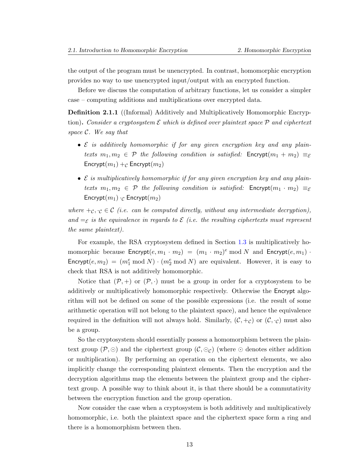the output of the program must be unencrypted. In contrast, homomorphic encryption provides no way to use unencrypted input/output with an encrypted function.

Before we discuss the computation of arbitrary functions, let us consider a simpler case – computing additions and multiplications over encrypted data.

**Definition 2.1.1** ((Informal) Additively and Multiplicatively Homomorphic Encryption)**.** *Consider a cryptosystem E which is defined over plaintext space P and ciphertext space C. We say that*

- *• E is additively homomorphic if for any given encryption key and any plaintexts*  $m_1, m_2 \in \mathcal{P}$  *the following condition is satisfied:* Encrypt $(m_1 + m_2) \equiv \varepsilon$ Encrypt $(m_1) +_C$  Encrypt $(m_2)$
- *• E is multiplicatively homomorphic if for any given encryption key and any plaintexts*  $m_1, m_2 \in \mathcal{P}$  *the following condition is satisfied:* Encrypt $(m_1 \cdot m_2) \equiv \varepsilon$  $\textsf{Encrypt}(m_1) \cdot_{\mathcal{C}} \textsf{Encrypt}(m_2)$

*where*  $+_{\mathcal{C}}, \cdot_{\mathcal{C}} \in \mathcal{C}$  (*i.e. can be computed directly, without any intermediate decryption),* and  $=\varepsilon$  *is the equivalence in regards to*  $\varepsilon$  *(i.e. the resulting ciphertexts must represent the same plaintext).*

For example, the RSA cryptosystem defined in Section [1.3](#page-7-0) is multiplicatively homomorphic because  $\textsf{Encrypt}(e, m_1 \cdot m_2) = (m_1 \cdot m_2)^e \mod N$  and  $\textsf{Encrypt}(e, m_1)$ Encrypt $(e, m_2) = (m_1^e \mod N) \cdot (m_2^e \mod N)$  are equivalent. However, it is easy to check that RSA is not additively homomorphic.

Notice that  $(\mathcal{P},+)$  or  $(\mathcal{P},\cdot)$  must be a group in order for a cryptosystem to be additively or multiplicatively homomorphic respectively. Otherwise the Encrypt algorithm will not be defined on some of the possible expressions (i.e. the result of some arithmetic operation will not belong to the plaintext space), and hence the equivalence required in the definition will not always hold. Similarly,  $(C, +_C)$  or  $(C, \cdot_C)$  must also be a group.

So the cryptosystem should essentially possess a homomorphism between the plaintext group  $(\mathcal{P}, \odot)$  and the ciphertext group  $(\mathcal{C}, \odot)$  (where  $\odot$  denotes either addition or multiplication). By performing an operation on the ciphertext elements, we also implicitly change the corresponding plaintext elements. Then the encryption and the decryption algorithms map the elements between the plaintext group and the ciphertext group. A possible way to think about it, is that there should be a commutativity between the encryption function and the group operation.

Now consider the case when a cryptosystem is both additively and multiplicatively homomorphic, i.e. both the plaintext space and the ciphertext space form a ring and there is a homomorphism between then.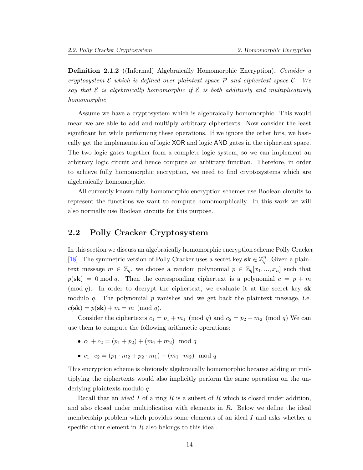<span id="page-14-1"></span>**Definition 2.1.2** ((Informal) Algebraically Homomorphic Encryption)**.** *Consider a cryptosystem E which is defined over plaintext space P and ciphertext space C. We say that E is algebraically homomorphic if E is both additively and multiplicatively homomorphic.*

Assume we have a cryptosystem which is algebraically homomorphic. This would mean we are able to add and multiply arbitrary ciphertexts. Now consider the least significant bit while performing these operations. If we ignore the other bits, we basically get the implementation of logic XOR and logic AND gates in the ciphertext space. The two logic gates together form a complete logic system, so we can implement an arbitrary logic circuit and hence compute an arbitrary function. Therefore, in order to achieve fully homomorphic encryption, we need to find cryptosystems which are algebraically homomorphic.

All currently known fully homomorphic encryption schemes use Boolean circuits to represent the functions we want to compute homomorphically. In this work we will also normally use Boolean circuits for this purpose.

#### <span id="page-14-0"></span>**2.2 Polly Cracker Cryptosystem**

In this section we discuss an algebraically homomorphic encryption scheme Polly Cracker [[18](#page-54-3)]. The symmetric version of Polly Cracker uses a secret key  $\mathbf{sk} \in \mathbb{Z}_q^n$ . Given a plaintext message  $m \in \mathbb{Z}_q$ , we choose a random polynomial  $p \in \mathbb{Z}_q[x_1, ..., x_n]$  such that  $p(\mathbf{sk}) = 0 \mod q$ . Then the corresponding ciphertext is a polynomial  $c = p + m$ (mod *q*). In order to decrypt the ciphertext, we evaluate it at the secret key **sk** modulo *q*. The polynomial *p* vanishes and we get back the plaintext message, i.e.  $c(\mathbf{sk}) = p(\mathbf{sk}) + m = m \pmod{q}.$ 

Consider the ciphertexts  $c_1 = p_1 + m_1 \pmod{q}$  and  $c_2 = p_2 + m_2 \pmod{q}$  We can use them to compute the following arithmetic operations:

- $c_1 + c_2 = (p_1 + p_2) + (m_1 + m_2) \mod q$
- $c_1 \cdot c_2 = (p_1 \cdot m_2 + p_2 \cdot m_1) + (m_1 \cdot m_2) \mod q$

This encryption scheme is obviously algebraically homomorphic because adding or multiplying the ciphertexts would also implicitly perform the same operation on the underlying plaintexts modulo *q*.

Recall that an *ideal I* of a ring *R* is a subset of *R* which is closed under addition, and also closed under multiplication with elements in *R*. Below we define the ideal membership problem which provides some elements of an ideal *I* and asks whether a specific other element in *R* also belongs to this ideal.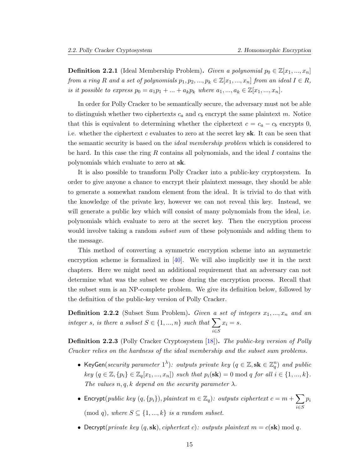<span id="page-15-0"></span>**Definition 2.2.1** (Ideal Membership Problem). *Given a polynomial*  $p_0 \in \mathbb{Z}[x_1, ..., x_n]$ *from a ring R and a set of polynomials*  $p_1, p_2, ..., p_k \in \mathbb{Z}[x_1, ..., x_n]$  *from an ideal*  $I \in R$ *, is it possible to express*  $p_0 = a_1 p_1 + ... + a_k p_k$  *where*  $a_1, ..., a_k \in \mathbb{Z}[x_1, ..., x_n]$ .

In order for Polly Cracker to be semantically secure, the adversary must not be able to distinguish whether two ciphertexts *c<sup>a</sup>* and *c<sup>b</sup>* encrypt the same plaintext *m*. Notice that this is equivalent to determining whether the ciphertext  $c = c_a - c_b$  encrypts 0, i.e. whether the ciphertext *c* evaluates to zero at the secret key **sk**. It can be seen that the semantic security is based on the *ideal membership problem* which is considered to be hard. In this case the ring *R* contains all polynomials, and the ideal *I* contains the polynomials which evaluate to zero at **sk**.

It is also possible to transform Polly Cracker into a public-key cryptosystem. In order to give anyone a chance to encrypt their plaintext message, they should be able to generate a somewhat random element from the ideal. It is trivial to do that with the knowledge of the private key, however we can not reveal this key. Instead, we will generate a public key which will consist of many polynomials from the ideal, i.e. polynomials which evaluate to zero at the secret key. Then the encryption process would involve taking a random *subset sum* of these polynomials and adding them to the message.

This method of converting a symmetric encryption scheme into an asymmetric encryption scheme is formalized in  $[40]$  $[40]$ . We will also implicitly use it in the next chapters. Here we might need an additional requirement that an adversary can not determine what was the subset we chose during the encryption process. Recall that the subset sum is an NP-complete problem. We give its definition below, followed by the definition of the public-key version of Polly Cracker.

**Definition 2.2.2** (Subset Sum Problem)**.** *Given a set of integers x*1*, ..., x<sup>n</sup> and an integer s, is there a subset*  $S \in \{1, ..., n\}$  *such that*  $\sum$ *i∈S*  $x_i = s$ .

**Definition 2.2.3** (Polly Cracker Cryptosystem [\[18](#page-54-3)])**.** *The public-key version of Polly Cracker relies on the hardness of the ideal membership and the subset sum problems.*

- KeyGen(*security parameter*  $1^{\lambda}$ ): *outputs private key* ( $q \in \mathbb{Z}, s\mathbf{k} \in \mathbb{Z}_q^n$ ) *and public*  $key (q \in \mathbb{Z}, \{p_i\} \in \mathbb{Z}_q[x_1, ..., x_n])$  such that  $p_i(\mathbf{sk}) = 0 \mod q$  for all  $i \in \{1, ..., k\}$ . *The values*  $n, q, k$  *depend on the security parameter*  $\lambda$ *.*
- Encrypt(*public key*  $(q, \{p_i\})$ *, plaintext*  $m \in \mathbb{Z}_q$ ): *outputs ciphertext*  $c = m + \sum$ *i∈S pi*  $p{mod q}$ *, where*  $S \subseteq \{1, ..., k\}$  *is a random subset.*
- Decrypt(*private key*  $(q, s\mathbf{k})$ *, ciphertext c*)*: outputs plaintext*  $m = c(\mathbf{sk}) \mod q$ *.*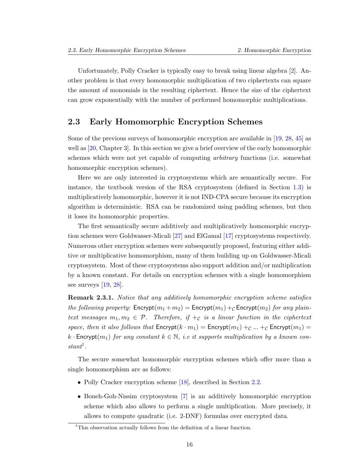<span id="page-16-2"></span>Unfortunately, Polly Cracker is typically easy to break using linear algebra [[2](#page-52-1)]. Another problem is that every homomorphic multiplication of two ciphertexts can square the amount of monomials in the resulting ciphertext. Hence the size of the ciphertext can grow exponentially with the number of performed homomorphic multiplications.

#### <span id="page-16-0"></span>**2.3 Early Homomorphic Encryption Schemes**

Some of the previous surveys of homomorphic encryption are available in [[19](#page-54-4), [28](#page-54-5), [45](#page-56-1)] as well as [[20,](#page-54-1) Chapter 3]. In this section we give a brief overview of the early homomorphic schemes which were not yet capable of computing *arbitrary* functions (i.e. somewhat homomorphic encryption schemes).

Here we are only interested in cryptosystems which are semantically secure. For instance, the textbook version of the RSA cryptosystem (defined in Section [1.3](#page-7-0)) is multiplicatively homomorphic, however it is not IND-CPA secure because its encryption algorithm is deterministic. RSA can be randomized using padding schemes, but then it loses its homomorphic properties.

The first semantically secure additively and multiplicatively homomorphic encryption schemes were Goldwasser-Micali [\[27](#page-54-6)] and ElGamal [[17\]](#page-53-0) cryptosystems respectively. Numerous other encryption schemes were subsequently proposed, featuring either additive or multiplicative homomorphism, many of them building up on Goldwasser-Micali cryptosystem. Most of these cryptosystems also support addition and/or multiplication by a known constant. For details on encryption schemes with a single homomorphism see surveys [[19,](#page-54-4) [28](#page-54-5)].

**Remark 2.3.1.** *Notice that any additively homomorphic encryption scheme satisfies the following property:*  $\text{Encrypt}(m_1 + m_2) = \text{Encrypt}(m_1) + c \text{Encrypt}(m_2)$  *for any plaintext* messages  $m_1, m_2 \in \mathcal{P}$ . Therefore, if  $+_{\mathcal{C}}$  is a linear function in the ciphertext *space, then it also follows that*  $\text{Encrypt}(k \cdot m_1) = \text{Encrypt}(m_1) + c \ldots + c \text{Encrypt}(m_1) =$  $k \cdot$  Encrypt $(m_1)$  *for any constant*  $k \in \mathbb{N}$ , *i.e it supports multiplication by a known constant*[1](#page-16-1) *.*

The secure somewhat homomorphic encryption schemes which offer more than a single homomorphism are as follows:

- Polly Cracker encryption scheme [[18\]](#page-54-3), described in Section [2.2.](#page-14-0)
- Boneh-Goh-Nissim cryptosystem [\[7\]](#page-52-2) is an additively homomorphic encryption scheme which also allows to perform a single multiplication. More precisely, it allows to compute quadratic (i.e. 2-DNF) formulas over encrypted data.

<span id="page-16-1"></span><sup>&</sup>lt;sup>1</sup>This observation actually follows from the definition of a linear function.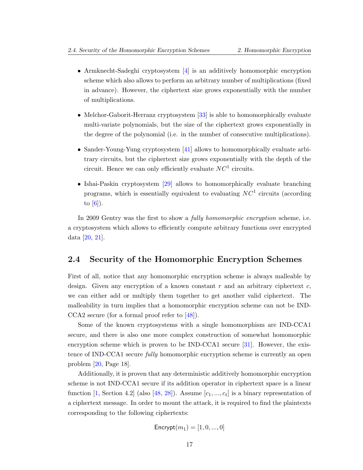- <span id="page-17-1"></span>• Armknecht-Sadeghi cryptosystem [[4](#page-52-3)] is an additively homomorphic encryption scheme which also allows to perform an arbitrary number of multiplications (fixed in advance). However, the ciphertext size grows exponentially with the number of multiplications.
- Melchor-Gaborit-Herranz cryptosystem [[33\]](#page-55-2) is able to homomorphically evaluate multi-variate polynomials, but the size of the ciphertext grows exponentially in the degree of the polynomial (i.e. in the number of consecutive multiplications).
- *•* Sander-Young-Yung cryptosystem [\[41](#page-56-4)] allows to homomorphically evaluate arbitrary circuits, but the ciphertext size grows exponentially with the depth of the circuit. Hence we can only efficiently evaluate *NC*<sup>1</sup> circuits.
- Ishai-Paskin cryptosystem [[29\]](#page-55-3) allows to homomorphically evaluate branching programs, which is essentially equivalent to evaluating *NC*<sup>1</sup> circuits (according to  $[6]$ ).

In 2009 Gentry was the first to show a *fully homomorphic encryption* scheme, i.e. a cryptosystem which allows to efficiently compute arbitrary functions over encrypted data [\[20](#page-54-1), [21\]](#page-54-0).

#### <span id="page-17-0"></span>**2.4 Security of the Homomorphic Encryption Schemes**

First of all, notice that any homomorphic encryption scheme is always malleable by design. Given any encryption of a known constant *r* and an arbitrary ciphertext *c*, we can either add or multiply them together to get another valid ciphertext. The malleability in turn implies that a homomorphic encryption scheme can not be IND-CCA2 secure (for a formal proof refer to [[48\]](#page-56-5)).

Some of the known cryptosystems with a single homomorphism are IND-CCA1 secure, and there is also one more complex construction of somewhat homomorphic encryption scheme which is proven to be IND-CCA1 secure [[31\]](#page-55-4). However, the existence of IND-CCA1 secure *fully* homomorphic encryption scheme is currently an open problem [[20,](#page-54-1) Page 18].

Additionally, it is proven that any deterministic additively homomorphic encryption scheme is not IND-CCA1 secure if its addition operator in ciphertext space is a linear function  $[1, Section 4.2]$  $[1, Section 4.2]$  (also  $[48, 28]$  $[48, 28]$  $[48, 28]$ ). Assume  $[c_1, ..., c_\ell]$  is a binary representation of a ciphertext message. In order to mount the attack, it is required to find the plaintexts corresponding to the following ciphertexts:

$$
\mathsf{Encrypt}(m_1) = [1, 0, \dots, 0]
$$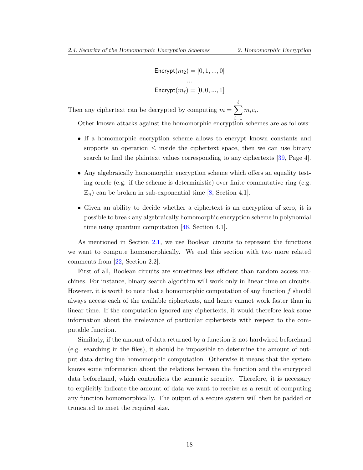$\mathsf{Energy}(m_2) = [0, 1, ..., 0]$ *...*  $\mathsf{Energy}(m_\ell) = [0,0,...,1]$ 

<span id="page-18-0"></span>Then any ciphertext can be decrypted by computing  $m = \sum_{n=1}^{\ell}$ *i*=1  $m_i c_i$ .

Other known attacks against the homomorphic encryption schemes are as follows:

- *•* If a homomorphic encryption scheme allows to encrypt known constants and supports an operation  $\leq$  inside the ciphertext space, then we can use binary search to find the plaintext values corresponding to any ciphertexts [[39](#page-56-0), Page 4].
- Any algebraically homomorphic encryption scheme which offers an equality testing oracle (e.g. if the scheme is deterministic) over finite commutative ring (e.g.  $\mathbb{Z}_n$ ) can be broken in sub-exponential time [\[8,](#page-52-6) Section 4.1].
- Given an ability to decide whether a ciphertext is an encryption of zero, it is possible to break any algebraically homomorphic encryption scheme in polynomial time using quantum computation [[46,](#page-56-6) Section 4.1].

As mentioned in Section [2.1](#page-12-1), we use Boolean circuits to represent the functions we want to compute homomorphically. We end this section with two more related comments from [[22,](#page-54-7) Section 2.2].

First of all, Boolean circuits are sometimes less efficient than random access machines. For instance, binary search algorithm will work only in linear time on circuits. However, it is worth to note that a homomorphic computation of any function *f* should always access each of the available ciphertexts, and hence cannot work faster than in linear time. If the computation ignored any ciphertexts, it would therefore leak some information about the irrelevance of particular ciphertexts with respect to the computable function.

Similarly, if the amount of data returned by a function is not hardwired beforehand (e.g. searching in the files), it should be impossible to determine the amount of output data during the homomorphic computation. Otherwise it means that the system knows some information about the relations between the function and the encrypted data beforehand, which contradicts the semantic security. Therefore, it is necessary to explicitly indicate the amount of data we want to receive as a result of computing any function homomorphically. The output of a secure system will then be padded or truncated to meet the required size.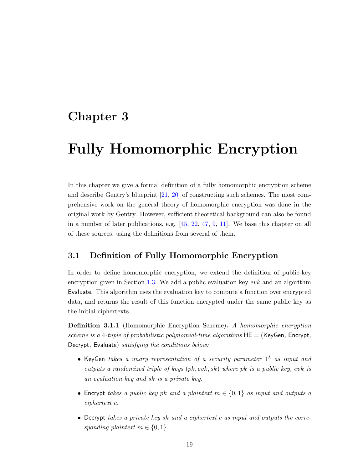### <span id="page-19-2"></span><span id="page-19-0"></span>**Chapter 3**

## **Fully Homomorphic Encryption**

In this chapter we give a formal definition of a fully homomorphic encryption scheme and describe Gentry's blueprint [\[21](#page-54-0), [20\]](#page-54-1) of constructing such schemes. The most comprehensive work on the general theory of homomorphic encryption was done in the original work by Gentry. However, sufficient theoretical background can also be found in a number of later publications, e.g. [[45,](#page-56-1) [22,](#page-54-7) [47,](#page-56-2) [9,](#page-53-1) [11\]](#page-53-2). We base this chapter on all of these sources, using the definitions from several of them.

#### <span id="page-19-1"></span>**3.1 Definition of Fully Homomorphic Encryption**

In order to define homomorphic encryption, we extend the definition of public-key encryption given in Section [1.3.](#page-7-0) We add a public evaluation key *evk* and an algorithm Evaluate. This algorithm uses the evaluation key to compute a function over encrypted data, and returns the result of this function encrypted under the same public key as the initial ciphertexts.

**Definition 3.1.1** (Homomorphic Encryption Scheme)**.** *A homomorphic encryption scheme is a* 4*-tuple of probabilistic polynomial-time algorithms* HE = (KeyGen*,* Encrypt*,* Decrypt*,* Evaluate) *satisfying the conditions below:*

- *•* KeyGen *takes a unary representation of a security parameter* 1 *λ as input and outputs a randomized triple of keys* (*pk, evk, sk*) *where pk is a public key, evk is an evaluation key and sk is a private key.*
- *•* Encrypt *takes a public key pk and a plaintext m ∈ {*0*,* 1*} as input and outputs a ciphertext c.*
- *•* Decrypt *takes a private key sk and a ciphertext c as input and outputs the corresponding plaintext*  $m \in \{0, 1\}$ *.*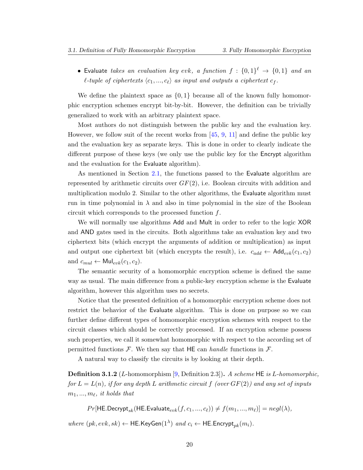<span id="page-20-0"></span>• Evaluate *takes an evaluation key evk*, a function  $f : \{0,1\}^{\ell} \rightarrow \{0,1\}$  and an  $\ell$ -tuple of ciphertexts  $\langle c_1, ..., c_\ell \rangle$  as input and outputs a ciphertext  $c_f$ .

We define the plaintext space as  $\{0,1\}$  because all of the known fully homomorphic encryption schemes encrypt bit-by-bit. However, the definition can be trivially generalized to work with an arbitrary plaintext space.

Most authors do not distinguish between the public key and the evaluation key. However, we follow suit of the recent works from  $[45, 9, 11]$  $[45, 9, 11]$  $[45, 9, 11]$  $[45, 9, 11]$  $[45, 9, 11]$  $[45, 9, 11]$  and define the public key and the evaluation key as separate keys. This is done in order to clearly indicate the different purpose of these keys (we only use the public key for the Encrypt algorithm and the evaluation for the Evaluate algorithm).

As mentioned in Section [2.1,](#page-12-1) the functions passed to the Evaluate algorithm are represented by arithmetic circuits over *GF*(2), i.e. Boolean circuits with addition and multiplication modulo 2. Similar to the other algorithms, the Evaluate algorithm must run in time polynomial in  $\lambda$  and also in time polynomial in the size of the Boolean circuit which corresponds to the processed function *f*.

We will normally use algorithms Add and Mult in order to refer to the logic XOR and AND gates used in the circuits. Both algorithms take an evaluation key and two ciphertext bits (which encrypt the arguments of addition or multiplication) as input and output one ciphertext bit (which encrypts the result), i.e.  $c_{add} \leftarrow \text{Add}_{evk}(c_1, c_2)$ and  $c_{mul} \leftarrow \text{Mul}_{evk}(c_1, c_2)$ .

The semantic security of a homomorphic encryption scheme is defined the same way as usual. The main difference from a public-key encryption scheme is the Evaluate algorithm, however this algorithm uses no secrets.

Notice that the presented definition of a homomorphic encryption scheme does not restrict the behavior of the Evaluate algorithm. This is done on purpose so we can further define different types of homomorphic encryption schemes with respect to the circuit classes which should be correctly processed. If an encryption scheme possess such properties, we call it somewhat homomorphic with respect to the according set of permitted functions  $\mathcal F$ . We then say that HE can *handle* functions in  $\mathcal F$ .

A natural way to classify the circuits is by looking at their depth.

**Definition 3.1.2** (*L*-homomorphism [\[9,](#page-53-1) Definition 2.3])**.** *A scheme* HE *is L-homomorphic, for L* = *L*(*n*)*, if for any depth L arithmetic circuit f (over GF*(2)*) and any set of inputs m*1*, ..., m<sup>ℓ</sup> , it holds that*

 $Pr[\text{HE}.\text{Decrypt}_{\text{el}}(\text{HE}.\text{Evaluate}_{\text{e}nk}(f, c_1, ..., c_\ell)) \neq f(m_1, ..., m_\ell)] = negl(\lambda),$ 

 $where (pk, evk, sk)$  ← **HE.KeyGen**(1<sup> $λ$ </sup>) *and*  $c_i$  ← **HE.Encrypt**<sub>pk</sub> $(m_i)$ *.*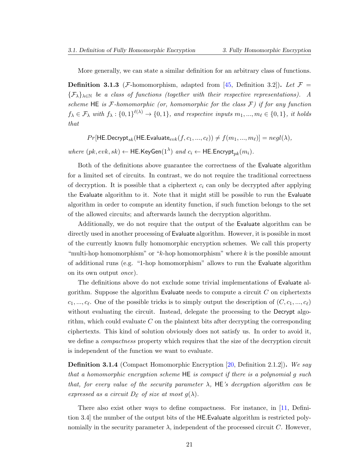<span id="page-21-0"></span>More generally, we can state a similar definition for an arbitrary class of functions.

**Definition 3.1.3** (*F*-homomorphism, adapted from [\[45](#page-56-1), Definition 3.2]). Let  $\mathcal{F} =$  ${\{\mathcal{F}_{\lambda}\}}_{\lambda\in\mathbb{N}}$  *be a class of functions (together with their respective representations).* A *scheme* HE *is F-homomorphic (or, homomorphic for the class F) if for any function*  $f_{\lambda} \in \mathcal{F}_{\lambda}$  with  $f_{\lambda} : \{0,1\}^{\ell(\lambda)} \to \{0,1\}$ , and respective inputs  $m_1, ..., m_{\ell} \in \{0,1\}$ , it holds *that*

 $Pr[\mathsf{HE}.\mathsf{Decrypt}_{\mathsf{ch}}(\mathsf{HE}.\mathsf{Evaluate}_{\mathsf{enk}}(f, c_1, ..., c_\ell)) \neq f(m_1, ..., m_\ell)] = \mathsf{neql}(\lambda),$ 

 $where (pk, evk, sk)$  ← HE.KeyGen(1<sup> $λ$ </sup>) *and*  $c_i$  ← HE.Encrypt<sub>pk</sub>( $m_i$ ).

Both of the definitions above guarantee the correctness of the Evaluate algorithm for a limited set of circuits. In contrast, we do not require the traditional correctness of decryption. It is possible that a ciphertext  $c_i$  can only be decrypted after applying the Evaluate algorithm to it. Note that it might still be possible to run the Evaluate algorithm in order to compute an identity function, if such function belongs to the set of the allowed circuits; and afterwards launch the decryption algorithm.

Additionally, we do not require that the output of the Evaluate algorithm can be directly used in another processing of Evaluate algorithm. However, it is possible in most of the currently known fully homomorphic encryption schemes. We call this property "multi-hop homomorphism" or "*k*-hop homomorphism" where *k* is the possible amount of additional runs (e.g. "1-hop homomorphism" allows to run the Evaluate algorithm on its own output *once*).

The definitions above do not exclude some trivial implementations of Evaluate algorithm. Suppose the algorithm Evaluate needs to compute a circuit *C* on ciphertexts  $c_1, ..., c_{\ell}$ . One of the possible tricks is to simply output the description of  $(C, c_1, ..., c_{\ell})$ without evaluating the circuit. Instead, delegate the processing to the Decrypt algorithm, which could evaluate *C* on the plaintext bits after decrypting the corresponding ciphertexts. This kind of solution obviously does not satisfy us. In order to avoid it, we define a *compactness* property which requires that the size of the decryption circuit is independent of the function we want to evaluate.

**Definition 3.1.4** (Compact Homomorphic Encryption [[20,](#page-54-1) Definition 2.1.2])**.** *We say that a homomorphic encryption scheme* HE *is compact if there is a polynomial g such that, for every value of the security parameter λ,* HE*'s decryption algorithm can be expressed as a circuit*  $D_{\mathcal{E}}$  *of size at most*  $g(\lambda)$ *.* 

There also exist other ways to define compactness. For instance, in [[11,](#page-53-2) Definition 3.4] the number of the output bits of the HE*.*Evaluate algorithm is restricted polynomially in the security parameter  $\lambda$ , independent of the processed circuit *C*. However,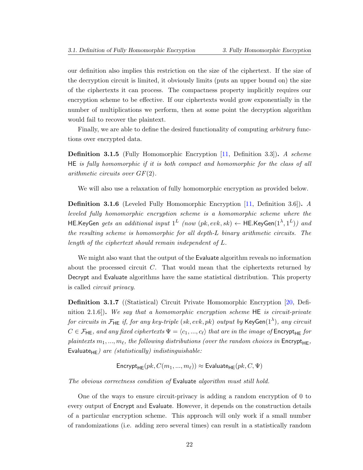<span id="page-22-0"></span>our definition also implies this restriction on the size of the ciphertext. If the size of the decryption circuit is limited, it obviously limits (puts an upper bound on) the size of the ciphertexts it can process. The compactness property implicitly requires our encryption scheme to be effective. If our ciphertexts would grow exponentially in the number of multiplications we perform, then at some point the decryption algorithm would fail to recover the plaintext.

Finally, we are able to define the desired functionality of computing *arbitrary* functions over encrypted data.

**Definition 3.1.5** (Fully Homomorphic Encryption [[11](#page-53-2), Definition 3.3])**.** *A scheme* HE *is fully homomorphic if it is both compact and homomorphic for the class of all arithmetic circuits over GF*(2)*.*

We will also use a relaxation of fully homomorphic encryption as provided below.

**Definition 3.1.6** (Leveled Fully Homomorphic Encryption [[11](#page-53-2), Definition 3.6])**.** *A leveled fully homomorphic encryption scheme is a homomorphic scheme where the* <code>HE.KeyGen</code> gets an additional input  $1^L$  (now (pk, evk, sk)  $\leftarrow$  <code>HE.KeyGen( $1^{\lambda},1^L$ )) and</code> *the resulting scheme is homomorphic for all depth-L binary arithmetic circuits. The length of the ciphertext should remain independent of L.*

We might also want that the output of the Evaluate algorithm reveals no information about the processed circuit *C*. That would mean that the ciphertexts returned by Decrypt and Evaluate algorithms have the same statistical distribution. This property is called *circuit privacy*.

**Definition 3.1.7** ((Statistical) Circuit Private Homomorphic Encryption [[20,](#page-54-1) Definition 2.1.6])**.** *We say that a homomorphic encryption scheme* HE *is circuit-private*  $f$ or circuits in  $\mathcal{F}_{\mathsf{HE}}$  if, for any key-triple  $({sk}, evk, pk)$  output by  $\mathsf{KeyGen}(1^\lambda),$  any circuit  $C \in \mathcal{F}_{\mathsf{HE}}$ *, and any fixed ciphertexts*  $\Psi = \langle c_1, ..., c_\ell \rangle$  *that are in the image of* Encrypt<sub>HE</sub> *for plaintexts*  $m_1, ..., m_\ell$ , the following distributions (over the random choices in Encrypt<sub>HE</sub>, Evaluate<sub>HE</sub>) are (statistically) indistinguishable:

 $\text{Encrypt}_{\text{HF}}(pk, C(m_1, ..., m_\ell)) \approx \text{Evaluate}_{\text{HE}}(pk, C, \Psi)$ 

*The obvious correctness condition of* Evaluate *algorithm must still hold.*

One of the ways to ensure circuit-privacy is adding a random encryption of 0 to every output of Encrypt and Evaluate. However, it depends on the construction details of a particular encryption scheme. This approach will only work if a small number of randomizations (i.e. adding zero several times) can result in a statistically random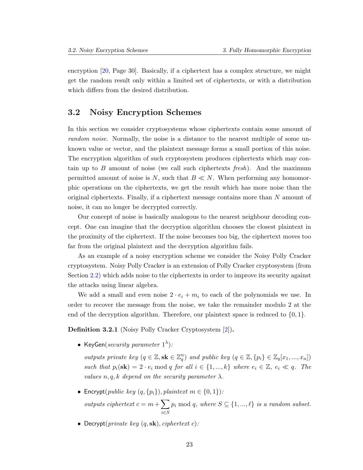<span id="page-23-1"></span>encryption [[20,](#page-54-1) Page 30]. Basically, if a ciphertext has a complex structure, we might get the random result only within a limited set of ciphertexts, or with a distribution which differs from the desired distribution.

#### <span id="page-23-0"></span>**3.2 Noisy Encryption Schemes**

In this section we consider cryptosystems whose ciphertexts contain some amount of *random noise*. Normally, the noise is a distance to the nearest multiple of some unknown value or vector, and the plaintext message forms a small portion of this noise. The encryption algorithm of such cryptosystem produces ciphertexts which may contain up to *B* amount of noise (we call such ciphertexts *fresh*). And the maximum permitted amount of noise is  $N$ , such that  $B \ll N$ . When performing any homomorphic operations on the ciphertexts, we get the result which has more noise than the original ciphertexts. Finally, if a ciphertext message contains more than *N* amount of noise, it can no longer be decrypted correctly.

Our concept of noise is basically analogous to the nearest neighbour decoding concept. One can imagine that the decryption algorithm chooses the closest plaintext in the proximity of the ciphertext. If the noise becomes too big, the ciphertext moves too far from the original plaintext and the decryption algorithm fails.

As an example of a noisy encryption scheme we consider the Noisy Polly Cracker cryptosystem. Noisy Polly Cracker is an extension of Polly Cracker cryptosystem (from Section [2.2](#page-14-0)) which adds noise to the ciphertexts in order to improve its security against the attacks using linear algebra.

We add a small and even noise  $2 \cdot e_i + m_i$  to each of the polynomials we use. In order to recover the message from the noise, we take the remainder modulo 2 at the end of the decryption algorithm. Therefore, our plaintext space is reduced to *{*0*,* 1*}*.

**Definition 3.2.1** (Noisy Polly Cracker Cryptosystem [[2](#page-52-1)])**.**

*•* KeyGen(*security parameter* 1 *λ* )*:*

outputs private key  $(q \in \mathbb{Z}, \mathbf{sk} \in \mathbb{Z}_q^n)$  and public key  $(q \in \mathbb{Z}, \{p_i\} \in \mathbb{Z}_q[x_1, ..., x_n])$ such that  $p_i(\mathbf{sk}) = 2 \cdot e_i \mod q$  for all  $i \in \{1, ..., k\}$  where  $e_i \in \mathbb{Z}, e_i \ll q$ . The *values*  $n, q, k$  *depend on the security parameter*  $\lambda$ *.* 

• Encrypt(*public key*  $(q, \{p_i\})$ *, plaintext*  $m \in \{0, 1\}$ )*: outputs ciphertext*  $c = m + \sum$  $p_i \bmod q$ *, where*  $S \subseteq \{1, ..., \ell\}$  *is a random subset.* 

*i∈S*

*•* Decrypt(*private key* (*q,* **sk**)*, ciphertext c*)*:*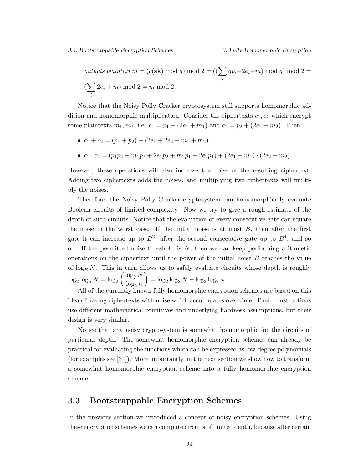<span id="page-24-1"></span>*outputs plaintext*  $m = (c(\mathbf{sk}) \bmod q) \bmod 2 = ((\sum$ *i*  $qp_i+2e_i+m) \mod q \mod 2 =$  $(\sum_{i=1}^{n}$ *i*  $2e_i + m$  mod  $2 = m$  mod 2.

Notice that the Noisy Polly Cracker cryptosystem still supports homomorphic addition and homomorphic multiplication. Consider the ciphertexts  $c_1, c_2$  which encrypt some plaintexts  $m_1, m_2$ , i.e.  $c_1 = p_1 + (2e_1 + m_1)$  and  $c_2 = p_2 + (2e_2 + m_2)$ . Then:

- $c_1 + c_2 = (p_1 + p_2) + (2e_1 + 2e_2 + m_1 + m_2).$
- $\bullet$   $c_1 \cdot c_2 = (p_1p_2 + m_1p_2 + 2e_1p_2 + m_2p_1 + 2e_2p_1) + (2e_1 + m_1) \cdot (2e_2 + m_2).$

However, these operations will also increase the noise of the resulting ciphertext. Adding two ciphertexts adds the noises, and multiplying two ciphertexts will multiply the noises.

Therefore, the Noisy Polly Cracker cryptosystem can homomorphically evaluate Boolean circuits of limited complexity. Now we try to give a rough estimate of the depth of such circuits. Notice that the evaluation of every consecutive gate can square the noise in the worst case. If the initial noise is at most *B*, then after the first gate it can increase up to  $B^2$ , after the second consecutive gate up to  $B^4$ , and so on. If the permitted noise threshold is  $N$ , then we can keep performing arithmetic operations on the ciphertext until the power of the initial noise *B* reaches the value of  $\log_R N$ . This in turn allows us to safely evaluate circuits whose depth is roughly  $\log_2 \log_n N = \log_2$  $\int$   $\log_2 N$  $\log_2 n$  $\setminus$  $=$  log<sub>2</sub> log<sub>2</sub> *N* − log<sub>2</sub> log<sub>2</sub> *n*.

All of the currently known fully homomorphic encryption schemes are based on this idea of having ciphertexts with noise which accumulates over time. Their constructions use different mathematical primitives and underlying hardness assumptions, but their design is very similar.

Notice that any noisy cryptosystem is somewhat homomorphic for the circuits of particular depth. The somewhat homomorphic encryption schemes can already be practical for evaluating the functions which can be expressed as low-degree polynomials (for examples see [\[34](#page-55-5)]). More importantly, in the next section we show how to transform a somewhat homomorphic encryption scheme into a fully homomorphic encryption scheme.

#### <span id="page-24-0"></span>**3.3 Bootstrappable Encryption Schemes**

In the previous section we introduced a concept of noisy encryption schemes. Using these encryption schemes we can compute circuits of limited depth, because after certain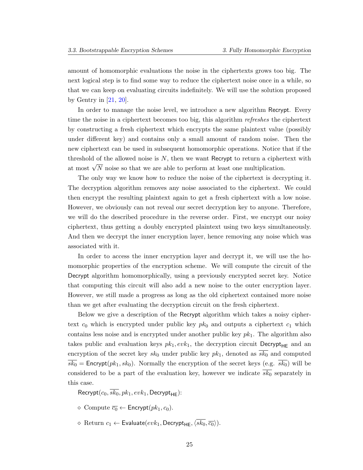<span id="page-25-0"></span>amount of homomorphic evaluations the noise in the ciphertexts grows too big. The next logical step is to find some way to reduce the ciphertext noise once in a while, so that we can keep on evaluating circuits indefinitely. We will use the solution proposed by Gentry in [[21](#page-54-0), [20\]](#page-54-1).

In order to manage the noise level, we introduce a new algorithm Recrypt. Every time the noise in a ciphertext becomes too big, this algorithm *refreshes* the ciphertext by constructing a fresh ciphertext which encrypts the same plaintext value (possibly under different key) and contains only a small amount of random noise. Then the new ciphertext can be used in subsequent homomorphic operations. Notice that if the threshold of the allowed noise is *N*, then we want Recrypt to return a ciphertext with at most  $\sqrt{N}$  noise so that we are able to perform at least one multiplication.

The only way we know how to reduce the noise of the ciphertext is decrypting it. The decryption algorithm removes any noise associated to the ciphertext. We could then encrypt the resulting plaintext again to get a fresh ciphertext with a low noise. However, we obviously can not reveal our secret decryption key to anyone. Therefore, we will do the described procedure in the reverse order. First, we encrypt our noisy ciphertext, thus getting a doubly encrypted plaintext using two keys simultaneously. And then we decrypt the inner encryption layer, hence removing any noise which was associated with it.

In order to access the inner encryption layer and decrypt it, we will use the homomorphic properties of the encryption scheme. We will compute the circuit of the Decrypt algorithm homomorphically, using a previously encrypted secret key. Notice that computing this circuit will also add a new noise to the outer encryption layer. However, we still made a progress as long as the old ciphertext contained more noise than we get after evaluating the decryption circuit on the fresh ciphertext.

Below we give a description of the Recrypt algorithm which takes a noisy ciphertext  $c_0$  which is encrypted under public key  $pk_0$  and outputs a ciphertext  $c_1$  which contains less noise and is encrypted under another public key *pk*1. The algorithm also takes public and evaluation keys  $pk_1, evk_1$ , the decryption circuit Decrypt<sub>HF</sub> and an encryption of the secret key  $sk_0$  under public key  $pk_1$ , denoted as  $sk_0$  and computed  $\overline{sk_0}$  = Encrypt( $pk_1, sk_0$ ). Normally the encryption of the secret keys (e.g.  $\overline{sk_0}$ ) will be considered to be a part of the evaluation key, however we indicate  $\overline{sk_0}$  separately in this case.

 $\text{Recrypt}(c_0, \overline{sk_0}, pk_1, evk_1, \text{Decrypt}_{\text{HF}}):$ 

- *⋄* Compute *c*<sup>0</sup> *←* Encrypt(*pk*1*, c*0).
- $\diamond$  Return  $c_1 \leftarrow$  Evaluate $(evk_1,$  Decrypt<sub>HE</sub>,  $\langle \overline{sk_0}, \overline{c_0} \rangle$ ).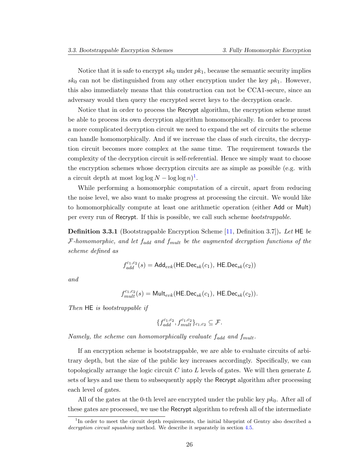<span id="page-26-1"></span>Notice that it is safe to encrypt  $sk_0$  under  $pk_1$ , because the semantic security implies *sk*<sup>0</sup> can not be distinguished from any other encryption under the key *pk*1. However, this also immediately means that this construction can not be CCA1-secure, since an adversary would then query the encrypted secret keys to the decryption oracle.

Notice that in order to process the Recrypt algorithm, the encryption scheme must be able to process its own decryption algorithm homomorphically. In order to process a more complicated decryption circuit we need to expand the set of circuits the scheme can handle homomorphically. And if we increase the class of such circuits, the decryption circuit becomes more complex at the same time. The requirement towards the complexity of the decryption circuit is self-referential. Hence we simply want to choose the encryption schemes whose decryption circuits are as simple as possible (e.g. with a circuit depth at most  $\log \log N - \log \log n$ <sup>[1](#page-26-0)</sup>.

While performing a homomorphic computation of a circuit, apart from reducing the noise level, we also want to make progress at processing the circuit. We would like to homomorphically compute at least one arithmetic operation (either Add or Mult) per every run of Recrypt. If this is possible, we call such scheme *bootstrappable*.

**Definition 3.3.1** (Bootstrappable Encryption Scheme [[11](#page-53-2), Definition 3.7])**.** *Let* HE *be F-homomorphic, and let fadd and fmult be the augmented decryption functions of the scheme defined as*

$$
f_{add}^{c_1,c_2}(s) = \mathsf{Add}_{evk}(\mathsf{HE}.\mathsf{Dec}_{sk}(c_1),\,\mathsf{HE}.\mathsf{Dec}_{sk}(c_2))
$$

*and*

$$
f_{mult}^{c_1,c_2}(s) = \mathsf{Mult}_{evk}(\mathsf{HE}.\mathsf{Dec}_{sk}(c_1), \mathsf{HE}.\mathsf{Dec}_{sk}(c_2)).
$$

*Then* HE *is bootstrappable if*

$$
\{f_{add}^{c_1,c_2}, f_{mult}^{c_1,c_2}\}_{c_1,c_2} \subseteq \mathcal{F}.
$$

*Namely, the scheme can homomorphically evaluate fadd and fmult.*

If an encryption scheme is bootstrappable, we are able to evaluate circuits of arbitrary depth, but the size of the public key increases accordingly. Specifically, we can topologically arrange the logic circuit *C* into *L* levels of gates. We will then generate *L* sets of keys and use them to subsequently apply the Recrypt algorithm after processing each level of gates.

All of the gates at the 0-th level are encrypted under the public key  $pk_0$ . After all of these gates are processed, we use the Recrypt algorithm to refresh all of the intermediate

<span id="page-26-0"></span><sup>&</sup>lt;sup>1</sup>In order to meet the circuit depth requirements, the initial blueprint of Gentry also described a *decryption circuit squashing* method. We describe it separately in section [4.5](#page-36-0).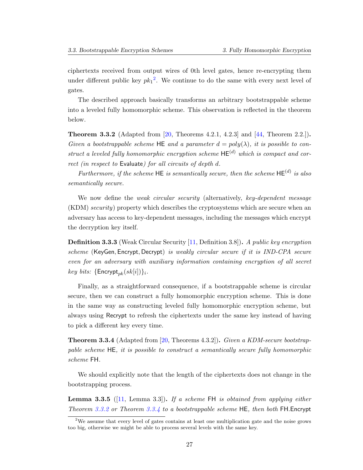<span id="page-27-3"></span>ciphertexts received from output wires of 0th level gates, hence re-encrypting them under different public key  $pk_1^2$  $pk_1^2$ . We continue to do the same with every next level of gates.

The described approach basically transforms an arbitrary bootstrappable scheme into a leveled fully homomorphic scheme. This observation is reflected in the theorem below.

<span id="page-27-1"></span>**Theorem 3.3.2** (Adapted from [\[20](#page-54-1), Theorems 4.2.1, 4.2.3] and [[44,](#page-56-7) Theorem 2.2.])**.** *Given a bootstrappable scheme* HE *and a parameter*  $d = poly(\lambda)$ , *it is possible to construct a leveled fully homomorphic encryption scheme* HE(*d*) *which is compact and correct (in respect to* Evaluate*) for all circuits of depth d.*

*Furthermore, if the scheme* HE *is semantically secure, then the scheme* HE(*d*) *is also semantically secure.*

We now define the *weak circular security* (alternatively, *key-dependent message* (KDM) *security*) property which describes the cryptosystems which are secure when an adversary has access to key-dependent messages, including the messages which encrypt the decryption key itself.

**Definition 3.3.3** (Weak Circular Security [[11,](#page-53-2) Definition 3.8])**.** *A public key encryption scheme* (KeyGen*,* Encrypt*,* Decrypt) *is weakly circular secure if it is IND-CPA secure even for an adversary with auxiliary information containing encryption of all secret*  $key \; bits: \{ \text{Encrypt}_{pk}(sk[i]) \}_i.$ 

Finally, as a straightforward consequence, if a bootstrappable scheme is circular secure, then we can construct a fully homomorphic encryption scheme. This is done in the same way as constructing leveled fully homomorphic encryption scheme, but always using Recrypt to refresh the ciphertexts under the same key instead of having to pick a different key every time.

<span id="page-27-2"></span>**Theorem 3.3.4** (Adapted from [\[20](#page-54-1), Theorems 4.3.2])**.** *Given a KDM-secure bootstrappable scheme* HE*, it is possible to construct a semantically secure fully homomorphic scheme* FH*.*

We should explicitly note that the length of the ciphertexts does not change in the bootstrapping process.

**Lemma 3.3.5** ([[11,](#page-53-2) Lemma 3.3])**.** *If a scheme* FH *is obtained from applying either Theorem [3.3.2](#page-27-1) or Theorem [3.3.4](#page-27-2) to a bootstrappable scheme* HE*, then both* FH*.*Encrypt

<span id="page-27-0"></span><sup>2</sup>We assume that every level of gates contains at least one multiplication gate and the noise grows too big, otherwise we might be able to process several levels with the same key.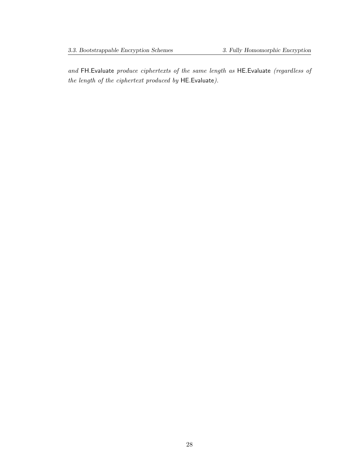*and* FH*.*Evaluate *produce ciphertexts of the same length as* HE*.*Evaluate *(regardless of the length of the ciphertext produced by* HE*.*Evaluate*).*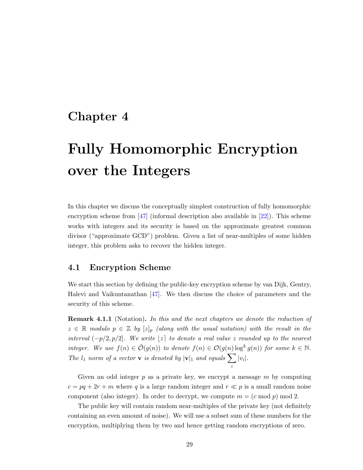### <span id="page-29-2"></span><span id="page-29-0"></span>**Chapter 4**

# **Fully Homomorphic Encryption over the Integers**

In this chapter we discuss the conceptually simplest construction of fully homomorphic encryption scheme from [\[47](#page-56-2)] (informal description also available in [[22\]](#page-54-7)). This scheme works with integers and its security is based on the approximate greatest common divisor ("approximate GCD") problem. Given a list of near-multiples of some hidden integer, this problem asks to recover the hidden integer.

#### <span id="page-29-1"></span>**4.1 Encryption Scheme**

We start this section by defining the public-key encryption scheme by van Dijk, Gentry, Halevi and Vaikuntanathan [[47\]](#page-56-2). We then discuss the choice of parameters and the security of this scheme.

**Remark 4.1.1** (Notation)**.** *In this and the next chapters we denote the reduction of*  $z \in \mathbb{R}$  *modulo*  $p \in \mathbb{Z}$  *by*  $[z]_p$  *(along with the usual notation) with the result in the interval*  $(-p/2, p/2]$ *. We write*  $\lfloor z \rfloor$  *to denote a real value z rounded up to the nearest integer.* We use  $f(n) \in \tilde{O}(g(n))$  *to denote*  $f(n) \in \mathcal{O}(g(n) \log^k g(n))$  *for some*  $k \in \mathbb{N}$ *. The*  $l_1$  *norm of a vector* **v** *is denoted by*  $|\mathbf{v}|_1$  *and equals*  $\sum$ *i*  $|v_i|$ .

Given an odd integer *p* as a private key, we encrypt a message *m* by computing  $c = pq + 2r + m$  where q is a large random integer and  $r \ll p$  is a small random noise component (also integer). In order to decrypt, we compute  $m = (c \mod p) \mod 2$ .

The public key will contain random near-multiples of the private key (not definitely containing an even amount of noise). We will use a subset sum of these numbers for the encryption, multiplying them by two and hence getting random encryptions of zero.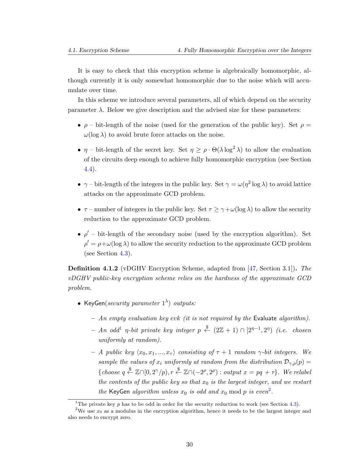<span id="page-30-3"></span>It is easy to check that this encryption scheme is algebraically homomorphic, although currently it is only somewhat homomorphic due to the noise which will accumulate over time.

In this scheme we introduce several parameters, all of which depend on the security parameter  $\lambda$ . Below we give description and the advised size for these parameters:

- **•**  $\rho$  bit-length of the noise (used for the generation of the public key). Set  $\rho$  $ω$ (log  $λ$ ) to avoid brute force attacks on the noise.
- **•** *η* bit-length of the secret key. Set  $\eta \ge \rho \cdot \Theta(\lambda \log^2 \lambda)$  to allow the evaluation of the circuits deep enough to achieve fully homomorphic encryption (see Section [4.4\)](#page-34-0).
- **•**  $\gamma$  bit-length of the integers in the public key. Set  $\gamma = \omega(\eta^2 \log \lambda)$  to avoid lattice attacks on the approximate GCD problem.
- **•**  $\tau$  number of integers in the public key. Set  $\tau \geq \gamma + \omega(\log \lambda)$  to allow the security reduction to the approximate GCD problem.
- $\rho'$  bit-length of the secondary noise (used by the encryption algorithm). Set  $\rho' = \rho + \omega(\log \lambda)$  to allow the security reduction to the approximate GCD problem (see Section [4.3\)](#page-32-0).

<span id="page-30-2"></span>**Definition 4.1.2** (vDGHV Encryption Scheme, adapted from [[47,](#page-56-2) Section 3.1])**.** *The vDGHV public-key encryption scheme relies on the hardness of the approximate GCD problem.*

- *•* KeyGen(*security parameter* 1 *λ* ) *outputs:*
	- **–** *An empty evaluation key evk (it is not required by the* Evaluate *algorithm).*
	- **–** *An odd*[1](#page-30-0) *η-bit private key integer p* \$ *←* (2Z + 1) *∩* [2*η−*<sup>1</sup> *,* 2 *η* ) *(i.e. chosen uniformly at random).*
	- **–** *A public key ⟨x*0*, x*1*, ..., x<sup>τ</sup> ⟩ consisting of τ* + 1 *random γ-bit integers. We sample the values of*  $x_i$  *uniformly at random from the distribution*  $\mathcal{D}_{\gamma,\rho}(p)$  =  ${{choose q \overset{\$}{\leftarrow} \mathbb{Z} \cap [0, 2^{\gamma}/p), r \overset{\$}{\leftarrow} \mathbb{Z} \cap (-2^{\rho}, 2^{\rho}) : output x = pq + r}.$  *We relabel the contents of the public key so that*  $x_0$  *is the largest integer, and we restart the* KeyGen *algorithm unless*  $x_0$  *is odd and*  $x_0$  mod  $p$  *is even*<sup>[2](#page-30-1)</sup>.

<span id="page-30-1"></span><span id="page-30-0"></span><sup>&</sup>lt;sup>1</sup>The private key  $p$  has to be odd in order for the security reduction to work (see Section [4.3](#page-32-0)).

<sup>&</sup>lt;sup>2</sup>We use  $x_0$  as a modulus in the encryption algorithm, hence it needs to be the largest integer and also needs to encrypt zero.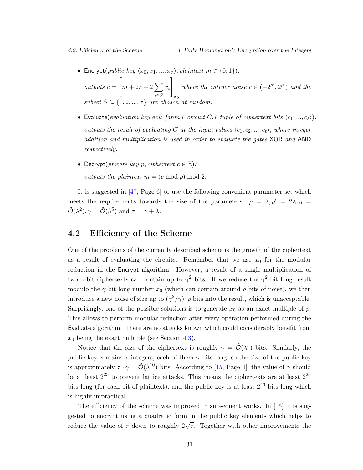<span id="page-31-1"></span>• Encrypt(*public key*  $\langle x_0, x_1, ..., x_{\tau} \rangle$ , *plaintext*  $m \in \{0, 1\}$ ):

 $outputs$   $c =$  $\sqrt{ }$  $m + 2r + 2\sum$ *i∈S xi* ] *x*0 *where the integer noise*  $r \in (-2^{\rho'}, 2^{\rho'})$  *and the subset*  $S \subseteq \{1, 2, ..., \tau\}$  *are chosen at random.* 

- Evaluate(*evaluation key evk, fanin-* $\ell$  *circuit*  $C, \ell$ *-tuple of ciphertext bits*  $\langle c_1, ..., c_\ell \rangle$ *): outputs the result of evaluating C* at the input values  $\langle c_1, c_2, ..., c_\ell \rangle$ , where integer *addition and multiplication is used in order to evaluate the gates* XOR *and* AND *respectively.*
- Decrypt(*private key p, ciphertext*  $c \in \mathbb{Z}$ ): *outputs the plaintext*  $m = (c \mod p) \mod 2$ .

It is suggested in [[47,](#page-56-2) Page 6] to use the following convenient parameter set which meets the requirements towards the size of the parameters:  $\rho = \lambda, \rho' = 2\lambda, \eta =$  $\tilde{\mathcal{O}}(\lambda^2), \gamma = \tilde{\mathcal{O}}(\lambda^5)$  and  $\tau = \gamma + \lambda$ .

#### <span id="page-31-0"></span>**4.2 Efficiency of the Scheme**

One of the problems of the currently described scheme is the growth of the ciphertext as a result of evaluating the circuits. Remember that we use  $x<sub>0</sub>$  for the modular reduction in the Encrypt algorithm. However, a result of a single multiplication of two *γ*-bit ciphertexts can contain up to  $\gamma^2$  bits. If we reduce the  $\gamma^2$ -bit long result modulo the  $\gamma$ -bit long number  $x_0$  (which can contain around  $\rho$  bits of noise), we then introduce a new noise of size up to  $(\gamma^2/\gamma) \cdot \rho$  bits into the result, which is unacceptable. Surprisingly, one of the possible solutions is to generate  $x_0$  as an exact multiple of  $p$ . This allows to perform modular reduction after every operation performed during the Evaluate algorithm. There are no attacks known which could considerably benefit from  $x_0$  being the exact multiple (see Section [4.3\)](#page-32-0).

Notice that the size of the ciphertext is roughly  $\gamma = \tilde{\mathcal{O}}(\lambda^5)$  bits. Similarly, the public key contains  $\tau$  integers, each of them  $\gamma$  bits long, so the size of the public key is approximately  $\tau \cdot \gamma = \tilde{\mathcal{O}}(\lambda^{10})$  bits. According to [\[15](#page-53-3), Page 4], the value of  $\gamma$  should be at least  $2^{23}$  to prevent lattice attacks. This means the ciphertexts are at least  $2^{23}$ bits long (for each bit of plaintext), and the public key is at least  $2^{46}$  bits long which is highly impractical.

The efficiency of the scheme was improved in subsequent works. In  $[15]$  $[15]$  it is suggested to encrypt using a quadratic form in the public key elements which helps to reduce the value of  $\tau$  down to roughly  $2\sqrt{\tau}$ . Together with other improvements the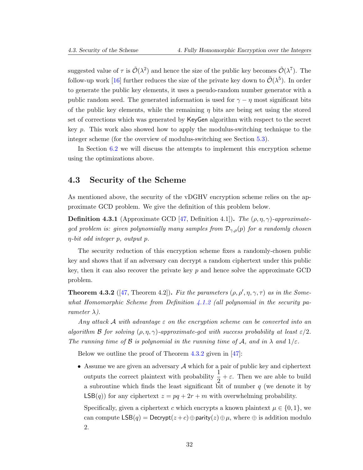<span id="page-32-2"></span>suggested value of  $\tau$  is  $\tilde{\mathcal{O}}(\lambda^2)$  and hence the size of the public key becomes  $\tilde{\mathcal{O}}(\lambda^7)$ . The follow-up work [[16\]](#page-53-4) further reduces the size of the private key down to  $\tilde{\mathcal{O}}(\lambda^5)$ . In order to generate the public key elements, it uses a pseudo-random number generator with a public random seed. The generated information is used for  $\gamma - \eta$  most significant bits of the public key elements, while the remaining  $\eta$  bits are being set using the stored set of corrections which was generated by KeyGen algorithm with respect to the secret key *p*. This work also showed how to apply the modulus-switching technique to the integer scheme (for the overview of modulus-switching see Section [5.3\)](#page-44-0).

In Section [6.2](#page-48-0) we will discuss the attempts to implement this encryption scheme using the optimizations above.

#### <span id="page-32-0"></span>**4.3 Security of the Scheme**

As mentioned above, the security of the vDGHV encryption scheme relies on the approximate GCD problem. We give the definition of this problem below.

**Definition 4.3.1** (Approximate GCD [[47,](#page-56-2) Definition 4.1]). *The*  $(\rho, \eta, \gamma)$ -approximate*gcd problem is: given polynomially many samples from Dγ,ρ*(*p*) *for a randomly chosen η-bit odd integer p, output p.*

The security reduction of this encryption scheme fixes a randomly-chosen public key and shows that if an adversary can decrypt a random ciphertext under this public key, then it can also recover the private key *p* and hence solve the approximate GCD problem.

<span id="page-32-1"></span>**Theorem 4.3.2** ([[47,](#page-56-2) Theorem 4.2]). *Fix the parameters*  $(\rho, \rho', \eta, \gamma, \tau)$  *as in the Somewhat Homomorphic Scheme from Definition [4.1.2](#page-30-2) (all polynomial in the security parameter*  $\lambda$ *).* 

*Any attack A with advantage ε on the encryption scheme can be converted into an algorithm B for solving*  $(\rho, \eta, \gamma)$ *-approximate-gcd with success probability at least*  $\varepsilon/2$ *. The running time of*  $\beta$  *is polynomial in the running time of*  $\mathcal{A}$ *, and in*  $\lambda$  *and*  $1/\varepsilon$ *.* 

Below we outline the proof of Theorem [4.3.2](#page-32-1) given in [\[47](#page-56-2)]:

*•* Assume we are given an adversary *A* which for a pair of public key and ciphertext outputs the correct plaintext with probability  $\frac{1}{2} + \varepsilon$ . Then we are able to build a subroutine which finds the least significant bit of number *q* (we denote it by  $LSB(q)$ ) for any ciphertext  $z = pq + 2r + m$  with overwhelming probability.

Specifically, given a ciphertext *c* which encrypts a known plaintext  $\mu \in \{0, 1\}$ , we can compute  $LSB(q) = \text{Decrypt}(z+c) \oplus \text{parity}(z) \oplus \mu$ , where  $\oplus$  is addition modulo 2.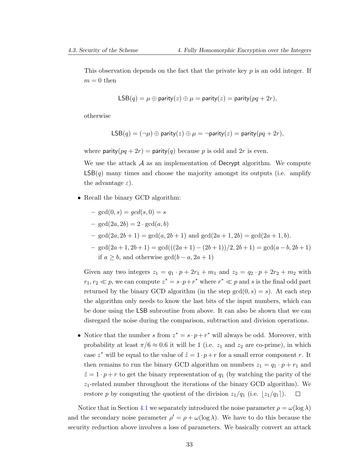This observation depends on the fact that the private key *p* is an odd integer. If  $m = 0$  then

$$
\mathsf{LSB}(q) = \mu \oplus \mathsf{parity}(z) \oplus \mu = \mathsf{parity}(z) = \mathsf{parity}(pq + 2r),
$$

otherwise

$$
\mathsf{LSB}(q) = (\neg \mu) \oplus \mathsf{parity}(z) \oplus \mu = \neg \mathsf{parity}(z) = \mathsf{parity}(pq + 2r),
$$

where  $\text{parity}(pq + 2r) = \text{parity}(q)$  because p is odd and 2r is even.

We use the attack  $A$  as an implementation of Decrypt algorithm. We compute  $LSB(q)$  many times and choose the majority amongst its outputs (i.e. amplify the advantage  $\varepsilon$ ).

- Recall the binary GCD algorithm:
	- $-\gcd(0, s) = \gcd(s, 0) = s$
	- $-\gcd(2a, 2b) = 2 \cdot \gcd(a, b)$
	- $p = \gcd(2a, 2b + 1) = \gcd(a, 2b + 1)$  and  $\gcd(2a + 1, 2b) = \gcd(2a + 1, b)$ .
	- **–** gcd(2*a* + 1*,* 2*b* + 1) = gcd(((2*a* + 1) *−* (2*b* + 1))*/*2*,* 2*b* + 1) = gcd(*a − b,* 2*b* + 1) if *a* ≥ *b*, and otherwise  $gcd(b − a, 2a + 1)$

Given any two integers  $z_1 = q_1 \cdot p + 2r_1 + m_1$  and  $z_2 = q_2 \cdot p + 2r_2 + m_2$  with  $r_1, r_2 \ll p$ , we can compute  $z^* = s \cdot p + r^*$  where  $r^* \ll p$  and *s* is the final odd part returned by the binary GCD algorithm (in the step  $gcd(0, s) = s$ ). At each step the algorithm only needs to know the last bits of the input numbers, which can be done using the LSB subroutine from above. It can also be shown that we can disregard the noise during the comparison, subtraction and division operations.

• Notice that the number *s* from  $z^* = s \cdot p + r^*$  will always be odd. Moreover, with probability at least  $\pi/6 \approx 0.6$  it will be 1 (i.e.  $z_1$  and  $z_2$  are co-prime), in which case  $z^*$  will be equal to the value of  $\tilde{z} = 1 \cdot p + r$  for a small error component r. It then remains to run the binary GCD algorithm on numbers  $z_1 = q_1 \cdot p + r_1$  and  $\tilde{z} = 1 \cdot p + r$  to get the binary representation of  $q_1$  (by watching the parity of the *z*1-related number throughout the iterations of the binary GCD algorithm). We restore *p* by computing the quotient of the division  $z_1/q_1$  (i.e.  $\lfloor z_1/q_1 \rfloor$ ).  $\Box$ 

Notice that in Section [4.1](#page-29-1) we separately introduced the noise parameter  $\rho = \omega(\log \lambda)$ and the secondary noise parameter  $\rho' = \rho + \omega(\log \lambda)$ . We have to do this because the security reduction above involves a loss of parameters. We basically convert an attack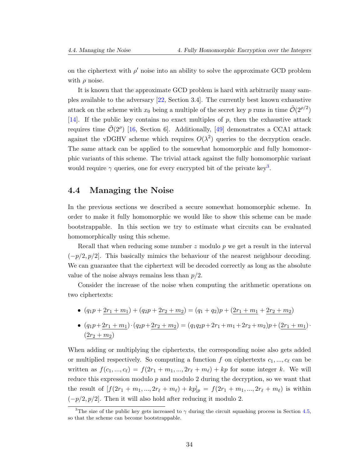<span id="page-34-2"></span>on the ciphertext with  $\rho'$  noise into an ability to solve the approximate GCD problem with  $\rho$  noise.

It is known that the approximate GCD problem is hard with arbitrarily many samples available to the adversary [\[22](#page-54-7), Section 3.4]. The currently best known exhaustive attack on the scheme with  $x_0$  being a multiple of the secret key *p* runs in time  $\tilde{\mathcal{O}}(2^{\rho/2})$ [[14](#page-53-5)]. If the public key contains no exact multiples of *p*, then the exhaustive attack requires time  $\tilde{\mathcal{O}}(2^{\rho})$  [[16,](#page-53-4) Section 6]. Additionally, [[49\]](#page-57-0) demonstrates a CCA1 attack against the vDGHV scheme which requires  $O(\lambda^2)$  queries to the decryption oracle. The same attack can be applied to the somewhat homomorphic and fully homomorphic variants of this scheme. The trivial attack against the fully homomorphic variant would require  $\gamma$  queries, one for every encrypted bit of the private key<sup>[3](#page-34-1)</sup>.

#### <span id="page-34-0"></span>**4.4 Managing the Noise**

In the previous sections we described a secure somewhat homomorphic scheme. In order to make it fully homomorphic we would like to show this scheme can be made bootstrappable. In this section we try to estimate what circuits can be evaluated homomorphically using this scheme.

Recall that when reducing some number *z* modulo *p* we get a result in the interval (*−p/*2*, p/*2]. This basically mimics the behaviour of the nearest neighbour decoding. We can guarantee that the ciphertext will be decoded correctly as long as the absolute value of the noise always remains less than *p/*2.

Consider the increase of the noise when computing the arithmetic operations on two ciphertexts:

- $(q_1p + 2r_1 + m_1) + (q_2p + 2r_2 + m_2) = (q_1 + q_2)p + (2r_1 + m_1 + 2r_2 + m_2)$
- $\bullet$   $(q_1p + 2r_1 + m_1) \cdot (q_2p + 2r_2 + m_2) = (q_1q_2p + 2r_1 + m_1 + 2r_2 + m_2)p + (\underline{2r}_1 + m_1) \cdot$  $(2r_2 + m_2)$

When adding or multiplying the ciphertexts, the corresponding noise also gets added or multiplied respectively. So computing a function  $f$  on ciphertexts  $c_1, ..., c_\ell$  can be written as  $f(c_1, ..., c_\ell) = f(2r_1 + m_1, ..., 2r_\ell + m_\ell) + kp$  for some integer *k*. We will reduce this expression modulo *p* and modulo 2 during the decryption, so we want that the result of  $[f(2r_1 + m_1, ..., 2r_\ell + m_\ell) + kp]_p = f(2r_1 + m_1, ..., 2r_\ell + m_\ell)$  is within (*−p/*2*, p/*2]. Then it will also hold after reducing it modulo 2.

<span id="page-34-1"></span><sup>&</sup>lt;sup>3</sup>The size of the public key gets increased to  $\gamma$  during the circuit squashing process in Section [4.5](#page-36-0), so that the scheme can become bootstrappable.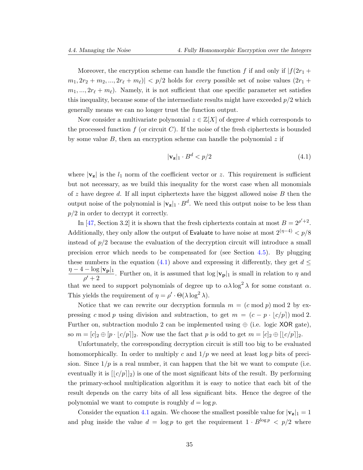<span id="page-35-1"></span>Moreover, the encryption scheme can handle the function f if and only if  $|f(2r_1 +$  $m_1, 2r_2 + m_2, ..., 2r_\ell + m_\ell$ ) |  $\lt p/2$  holds for *every* possible set of noise values  $(2r_1 +$  $m_1, ..., 2r_\ell + m_\ell$ . Namely, it is not sufficient that one specific parameter set satisfies this inequality, because some of the intermediate results might have exceeded *p/*2 which generally means we can no longer trust the function output.

Now consider a multivariate polynomial  $z \in \mathbb{Z}[X]$  of degree *d* which corresponds to the processed function  $f$  (or circuit  $C$ ). If the noise of the fresh ciphertexts is bounded by some value *B*, then an encryption scheme can handle the polynomial *z* if

<span id="page-35-0"></span>
$$
|\mathbf{v}_\mathbf{z}|_1 \cdot B^d < p/2 \tag{4.1}
$$

where  $|\mathbf{v}_z|$  is the  $l_1$  norm of the coefficient vector or *z*. This requirement is sufficient but not necessary, as we build this inequality for the worst case when all monomials of *z* have degree *d*. If all input ciphertexts have the biggest allowed noise *B* then the output noise of the polynomial is  $|\mathbf{v}_z|_1 \cdot B^d$ . We need this output noise to be less than *p/*2 in order to decrypt it correctly.

In [[47](#page-56-2), Section 3.2] it is shown that the fresh ciphertexts contain at most  $B = 2^{\rho'+2}$ . Additionally, they only allow the output of Evaluate to have noise at most  $2^{(\eta-4)} < p/8$ instead of  $p/2$  because the evaluation of the decryption circuit will introduce a small precision error which needs to be compensated for (see Section [4.5](#page-36-0)). By plugging these numbers in the equation ([4.1](#page-35-0)) above and expressing it differently, they get  $d \leq$ *η −* 4 *−* log *|***vp***|*<sup>1</sup>  $\frac{\log |\mathbf{v}_{\mathbf{p}}|}{\rho' + 2}$ . Further on, it is assumed that  $\log |\mathbf{v}_{\mathbf{p}}|_1$  is small in relation to *η* and that we need to support polynomials of degree up to  $\alpha \lambda \log^2 \lambda$  for some constant  $\alpha$ . This yields the requirement of  $\eta = \rho' \cdot \Theta(\lambda \log^2 \lambda)$ .

Notice that we can rewrite our decryption formula  $m = (c \mod p) \mod 2$  by expressing *c* mod *p* using division and subtraction, to get  $m = (c - p \cdot |c/p|) \text{ mod } 2$ . Further on, subtraction modulo 2 can be implemented using *⊕* (i.e. logic XOR gate), so  $m = [c]_2 \oplus [p \cdot (c/p)]_2$ . Now use the fact that p is odd to get  $m = [c]_2 \oplus [c/p]_2$ .

Unfortunately, the corresponding decryption circuit is still too big to be evaluated homomorphically. In order to multiply c and  $1/p$  we need at least log p bits of precision. Since  $1/p$  is a real number, it can happen that the bit we want to compute (i.e. eventually it is  $\lfloor (c/p) \rfloor_2$  is one of the most significant bits of the result. By performing the primary-school multiplication algorithm it is easy to notice that each bit of the result depends on the carry bits of all less significant bits. Hence the degree of the polynomial we want to compute is roughly  $d = \log p$ .

Consider the equation [4.1](#page-35-0) again. We choose the smallest possible value for  $|\mathbf{v}_z|_1 = 1$ and plug inside the value  $d = \log p$  to get the requirement  $1 \cdot B^{\log p} < p/2$  where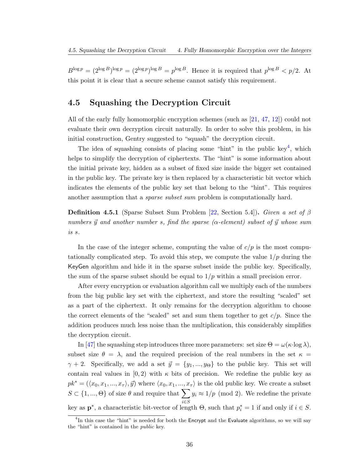<span id="page-36-2"></span> $B^{\log p} = (2^{\log B})^{\log p} = (2^{\log p})^{\log B} = p^{\log B}$ . Hence it is required that  $p^{\log B} < p/2$ . At this point it is clear that a secure scheme cannot satisfy this requirement.

#### <span id="page-36-0"></span>**4.5 Squashing the Decryption Circuit**

All of the early fully homomorphic encryption schemes (such as [[21,](#page-54-0) [47](#page-56-2), [12](#page-53-6)]) could not evaluate their own decryption circuit naturally. In order to solve this problem, in his initial construction, Gentry suggested to "squash" the decryption circuit.

The idea of squashing consists of placing some "hint" in the public key<sup>[4](#page-36-1)</sup>, which helps to simplify the decryption of ciphertexts. The "hint" is some information about the initial private key, hidden as a subset of fixed size inside the bigger set contained in the public key. The private key is then replaced by a characteristic bit vector which indicates the elements of the public key set that belong to the "hint". This requires another assumption that a *sparse subset sum* problem is computationally hard.

**Definition 4.5.1** (Sparse Subset Sum Problem [[22](#page-54-7), Section 5.4])**.** *Given a set of β numbers*  $\vec{y}$  *and another number s, find the sparse (* $\alpha$ *-element) subset of*  $\vec{y}$  *whose sum is s.*

In the case of the integer scheme, computing the value of  $c/p$  is the most computationally complicated step. To avoid this step, we compute the value 1*/p* during the KeyGen algorithm and hide it in the sparse subset inside the public key. Specifically, the sum of the sparse subset should be equal to  $1/p$  within a small precision error.

After every encryption or evaluation algorithm call we multiply each of the numbers from the big public key set with the ciphertext, and store the resulting "scaled" set as a part of the ciphertext. It only remains for the decryption algorithm to choose the correct elements of the "scaled" set and sum them together to get *c/p*. Since the addition produces much less noise than the multiplication, this considerably simplifies the decryption circuit.

In [[47\]](#page-56-2) the squashing step introduces three more parameters: set size  $\Theta = \omega(\kappa \cdot \log \lambda)$ , subset size  $\theta = \lambda$ , and the required precision of the real numbers in the set  $\kappa =$ *γ* + 2. Specifically, we add a set  $\vec{y} = \{y_1, ..., y_\Theta\}$  to the public key. This set will contain real values in  $(0, 2)$  with  $\kappa$  bits of precision. We redefine the public key as  $pk^* = (\langle x_0, x_1, ..., x_\tau \rangle, \vec{y})$  where  $\langle x_0, x_1, ..., x_\tau \rangle$  is the old public key. We create a subset  $S \subset \{1, ..., \Theta\}$  of size  $\theta$  and require that  $\sum$ *i∈S*  $y_i \approx 1/p \pmod{2}$ . We redefine the private key as  $\mathbf{p}^*$ , a characteristic bit-vector of length  $\Theta$ , such that  $p_i^* = 1$  if and only if  $i \in S$ .

<span id="page-36-1"></span> ${}^{4}$ In this case the "hint" is needed for both the Encrypt and the Evaluate algorithms, so we will say the "hint" is contained in the *public* key.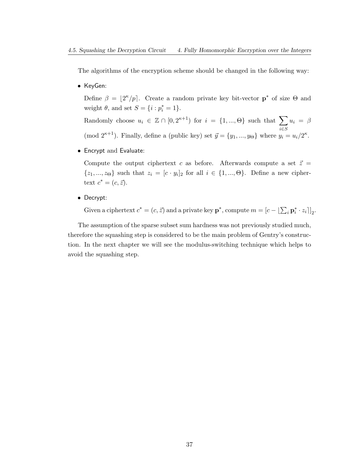The algorithms of the encryption scheme should be changed in the following way:

*•* KeyGen:

Define  $\beta = \lfloor 2^{\kappa}/p \rfloor$ . Create a random private key bit-vector **p**<sup>\*</sup> of size  $\Theta$  and weight  $\theta$ , and set  $S = \{i : p_i^* = 1\}.$ 

Randomly choose  $u_i \in \mathbb{Z} \cap [0, 2^{\kappa+1})$  for  $i = \{1, ..., \Theta\}$  such that  $\sum$ *i∈S u<sup>i</sup>* = *β* (mod  $2^{\kappa+1}$ ). Finally, define a (public key) set  $\vec{y} = \{y_1, ..., y_{\Theta}\}\$  where  $y_i = u_i/2^{\kappa}$ .

*•* Encrypt and Evaluate:

Compute the output ciphertext *c* as before. Afterwards compute a set  $\vec{z}$  =  $\{z_1, ..., z_{\Theta}\}\$  such that  $z_i = [c \cdot y_i]_2$  for all  $i \in \{1, ..., \Theta\}$ . Define a new ciphertext  $c^* = (c, \vec{z}).$ 

*•* Decrypt:

Given a ciphertext  $c^* = (c, \vec{z})$  and a private key  $\mathbf{p}^*$ , compute  $m = [c - \lfloor \sum_i \mathbf{p}_i^* \cdot z_i \rfloor]_2$ .

The assumption of the sparse subset sum hardness was not previously studied much, therefore the squashing step is considered to be the main problem of Gentry's construction. In the next chapter we will see the modulus-switching technique which helps to avoid the squashing step.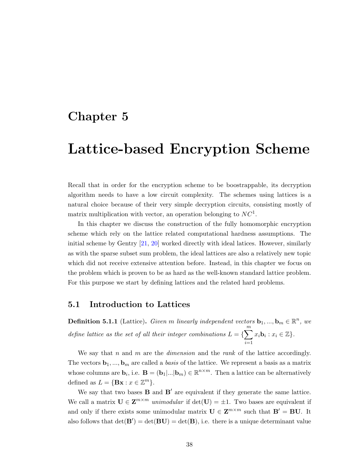### <span id="page-38-2"></span><span id="page-38-0"></span>**Chapter 5**

## **Lattice-based Encryption Scheme**

Recall that in order for the encryption scheme to be boostrappable, its decryption algorithm needs to have a low circuit complexity. The schemes using lattices is a natural choice because of their very simple decryption circuits, consisting mostly of matrix multiplication with vector, an operation belonging to *NC*<sup>1</sup> .

In this chapter we discuss the construction of the fully homomorphic encryption scheme which rely on the lattice related computational hardness assumptions. The initial scheme by Gentry [[21,](#page-54-0) [20](#page-54-1)] worked directly with ideal latices. However, similarly as with the sparse subset sum problem, the ideal lattices are also a relatively new topic which did not receive extensive attention before. Instead, in this chapter we focus on the problem which is proven to be as hard as the well-known standard lattice problem. For this purpose we start by defining lattices and the related hard problems.

#### <span id="page-38-1"></span>**5.1 Introduction to Lattices**

**Definition 5.1.1** (Lattice). *Given m linearly independent vectors*  $\mathbf{b}_1, ..., \mathbf{b}_m \in \mathbb{R}^n$ , we *define lattice as the set of all their integer combinations*  $L = \{\sum_{i=1}^{m} d_i\}$ *i*=1  $x_i$ **b***<sub>i</sub>* :  $x_i \in \mathbb{Z}$  }.

We say that *n* and *m* are the *dimension* and the *rank* of the lattice accordingly. The vectors  $\mathbf{b}_1, \ldots, \mathbf{b}_m$  are called a *basis* of the lattice. We represent a basis as a matrix whose columns are  $\mathbf{b}_i$ , i.e.  $\mathbf{B} = (\mathbf{b}_1 | ... | \mathbf{b}_m) \in \mathbb{R}^{n \times m}$ . Then a lattice can be alternatively defined as  $L = {\mathbf{Bx} : x \in \mathbb{Z}^m}$ .

We say that two bases  $\bf{B}$  and  $\bf{B}'$  are equivalent if they generate the same lattice. We call a matrix  $\mathbf{U} \in \mathbf{Z}^{m \times m}$  *unimodular* if  $\det(\mathbf{U}) = \pm 1$ . Two bases are equivalent if and only if there exists some unimodular matrix  $\mathbf{U} \in \mathbf{Z}^{m \times m}$  such that  $\mathbf{B}' = \mathbf{B} \mathbf{U}$ . It also follows that  $\det(\mathbf{B}') = \det(\mathbf{B}\mathbf{U}) = \det(\mathbf{B})$ , i.e. there is a unique determinant value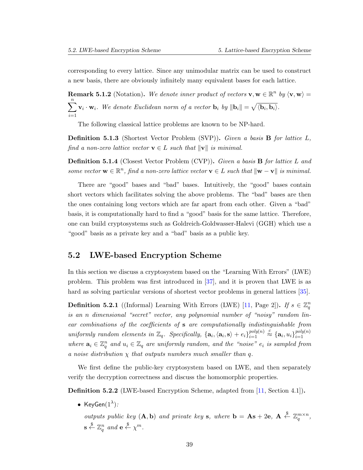<span id="page-39-1"></span>corresponding to every lattice. Since any unimodular matrix can be used to construct a new basis, there are obviously infinitely many equivalent bases for each lattice.

**Remark 5.1.2** (Notation). We denote inner product of vectors  $\mathbf{v}, \mathbf{w} \in \mathbb{R}^n$  by  $\langle \mathbf{v}, \mathbf{w} \rangle =$  $\sum_{i=1}^{n} \mathbf{v}_i \cdot \mathbf{w}_i$ . We denote Euclidean norm of a vector  $\mathbf{b}_i$  by  $\|\mathbf{b}_i\| = \sqrt{\langle \mathbf{b}_i, \mathbf{b}_i \rangle}$ . *i*=1

The following classical lattice problems are known to be NP-hard.

**Definition 5.1.3** (Shortest Vector Problem (SVP))**.** *Given a basis* **B** *for lattice L, find a non-zero lattice vector*  $\mathbf{v} \in L$  *such that*  $\|\mathbf{v}\|$  *is minimal.* 

**Definition 5.1.4** (Closest Vector Problem (CVP))**.** *Given a basis* **B** *for lattice L and some vector*  $\mathbf{w} \in \mathbb{R}^n$ , find a non-zero lattice vector  $\mathbf{v} \in L$  such that  $\|\mathbf{w} - \mathbf{v}\|$  is minimal.

There are "good" bases and "bad" bases. Intuitively, the "good" bases contain short vectors which facilitates solving the above problems. The "bad" bases are then the ones containing long vectors which are far apart from each other. Given a "bad" basis, it is computationally hard to find a "good" basis for the same lattice. Therefore, one can build cryptosystems such as Goldreich-Goldwasser-Halevi (GGH) which use a "good" basis as a private key and a "bad" basis as a public key.

#### <span id="page-39-0"></span>**5.2 LWE-based Encryption Scheme**

In this section we discuss a cryptosystem based on the "Learning With Errors" (LWE) problem. This problem was first introduced in [[37](#page-55-6)], and it is proven that LWE is as hard as solving particular versions of shortest vector problems in general lattices [[35](#page-55-7)].

**Definition 5.2.1** ((Informal) Learning With Errors (LWE) [[11,](#page-53-2) Page 2]). *If*  $s \in \mathbb{Z}_q^n$ *is an n dimensional "secret" vector, any polynomial number of "noisy" random linear combinations of the coefficients of* **s** *are computationally indistinguishable from uniformly random elements in*  $\mathbb{Z}_q$ *. Specifically,*  $\{a_i, \langle a_i, s \rangle + e_i\}_{i=1}^{poly(n)}$ *i*=1  $\stackrel{c}{\approx}$  {**a**<sub>*i*</sub></sub>, *u*<sub>*i*</sub>} $\stackrel{poly(n)}{i=1}$ *i*=1 *where*  $\mathbf{a}_i \in \mathbb{Z}_q^n$  *and*  $u_i \in \mathbb{Z}_q$  *are uniformly random, and the "noise"*  $e_i$  *is sampled from a noise distribution*  $\chi$  *that outputs numbers much smaller than q.* 

We first define the public-key cryptosystem based on LWE, and then separately verify the decryption correctness and discuss the homomorphic properties.

**Definition 5.2.2** (LWE-based Encryption Scheme, adapted from [[11](#page-53-2), Section 4.1])**.**

*•* KeyGen(1*<sup>λ</sup>* )*:*

*outputs public key*  $(A, b)$  *and private key* **s***, where*  $b = As + 2e$ ,  $A \stackrel{\$}{\leftarrow} \mathbb{Z}_q^{m \times n}$ ,  $\mathbf{s} \overset{\$}{\leftarrow} \mathbb{Z}_q^n$  and  $\mathbf{e} \overset{\$}{\leftarrow} \chi^m$ .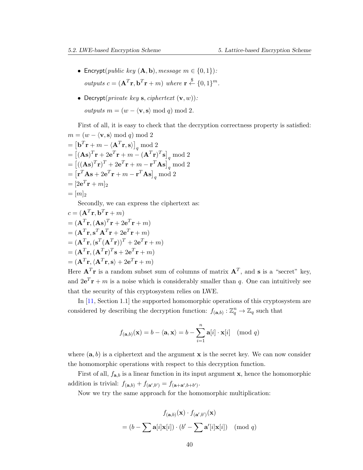- <span id="page-40-0"></span>*•* Encrypt(*public key* (**A***,* **b**)*, message m ∈ {*0*,* 1*}*)*: outputs*  $c = (\mathbf{A}^T \mathbf{r}, \mathbf{b}^T \mathbf{r} + m)$  *where*  $\mathbf{r} \stackrel{\$}{\leftarrow} \{0, 1\}^m$ *.*
- *•* Decrypt(*private key* **s***, ciphertext* (**v***, w*))*:*  $outputs$   $m = (w - \langle \mathbf{v}, \mathbf{s} \rangle \bmod q) \bmod 2$ .

First of all, it is easy to check that the decryption correctness property is satisfied:  $m = (w - \langle \mathbf{v}, \mathbf{s} \rangle \text{ mod } a) \text{ mod } 2$ 

$$
m = (w - \langle \mathbf{v}, \mathbf{s} \rangle \mod q) \mod 2
$$
  
=  $[\mathbf{b}^T \mathbf{r} + m - \langle \mathbf{A}^T \mathbf{r}, \mathbf{s} \rangle]_q \mod 2$   
=  $[(\mathbf{A}\mathbf{s})^T \mathbf{r} + 2\mathbf{e}^T \mathbf{r} + m - (\mathbf{A}^T \mathbf{r})^T \mathbf{s}]_q \mod 2$   
=  $[((\mathbf{A}\mathbf{s})^T \mathbf{r})^T + 2\mathbf{e}^T \mathbf{r} + m - \mathbf{r}^T \mathbf{A} \mathbf{s}]_q \mod 2$   
=  $[\mathbf{r}^T \mathbf{A}\mathbf{s} + 2\mathbf{e}^T \mathbf{r} + m - \mathbf{r}^T \mathbf{A} \mathbf{s}]_q \mod 2$   
=  $[2\mathbf{e}^T \mathbf{r} + m]_2$   
=  $[m]_2$ 

Secondly, we can express the ciphertext as:

$$
c = (\mathbf{A}^T \mathbf{r}, \mathbf{b}^T \mathbf{r} + m)
$$
  
= (\mathbf{A}^T \mathbf{r}, (\mathbf{A}\mathbf{s})^T \mathbf{r} + 2\mathbf{e}^T \mathbf{r} + m)  
= (\mathbf{A}^T \mathbf{r}, \mathbf{s}^T \mathbf{A}^T \mathbf{r} + 2\mathbf{e}^T \mathbf{r} + m)  
= (\mathbf{A}^T \mathbf{r}, (\mathbf{s}^T (\mathbf{A}^T \mathbf{r}))^T + 2\mathbf{e}^T \mathbf{r} + m)  
= (\mathbf{A}^T \mathbf{r}, (\mathbf{A}^T \mathbf{r})^T \mathbf{s} + 2\mathbf{e}^T \mathbf{r} + m)  
= (\mathbf{A}^T \mathbf{r}, \langle \mathbf{A}^T \mathbf{r}, \mathbf{s} \rangle + 2\mathbf{e}^T \mathbf{r} + m)

Here  $\mathbf{A}^T \mathbf{r}$  is a random subset sum of columns of matrix  $\mathbf{A}^T$ , and **s** is a "secret" key, and  $2e^{T}\mathbf{r} + m$  is a noise which is considerably smaller than q. One can intuitively see that the security of this cryptosystem relies on LWE.

In [[11](#page-53-2), Section 1.1] the supported homomorphic operations of this cryptosystem are considered by describing the decryption function:  $f_{(a,b)} : \mathbb{Z}_q^n \to \mathbb{Z}_q$  such that

$$
f_{(\mathbf{a},b)}(\mathbf{x}) = b - \langle \mathbf{a}, \mathbf{x} \rangle = b - \sum_{i=1}^{n} \mathbf{a}[i] \cdot \mathbf{x}[i] \pmod{q}
$$

where  $(a, b)$  is a ciphertext and the argument **x** is the secret key. We can now consider the homomorphic operations with respect to this decryption function.

First of all,  $f_{\mathbf{a},b}$  is a linear function in its input argument **x**, hence the homomorphic addition is trivial:  $f_{(\mathbf{a},b)} + f_{(\mathbf{a}',b')} = f_{(\mathbf{a}+\mathbf{a}',b+b')}$ .

Now we try the same approach for the homomorphic multiplication:

$$
f_{(\mathbf{a},b)}(\mathbf{x}) \cdot f_{(\mathbf{a}',b')}(\mathbf{x})
$$

$$
= (b - \sum \mathbf{a}[i]\mathbf{x}[i]) \cdot (b' - \sum \mathbf{a}'[i]\mathbf{x}[i]) \pmod{q}
$$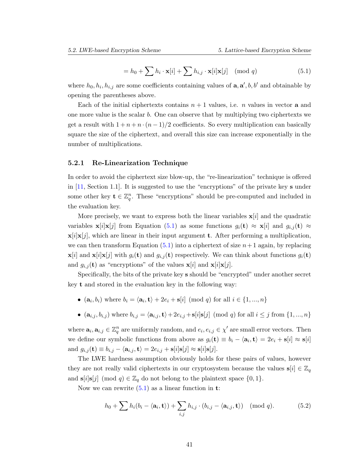<span id="page-41-1"></span>
$$
= h_0 + \sum h_i \cdot \mathbf{x}[i] + \sum h_{i,j} \cdot \mathbf{x}[i] \mathbf{x}[j] \pmod{q} \tag{5.1}
$$

<span id="page-41-3"></span>where  $h_0, h_i, h_{i,j}$  are some coefficients containing values of  $\mathbf{a}, \mathbf{a}', b, b'$  and obtainable by opening the parentheses above.

Each of the initial ciphertexts contains  $n + 1$  values, i.e. *n* values in vector **a** and one more value is the scalar *b*. One can observe that by multiplying two ciphertexts we get a result with  $1 + n + n \cdot (n-1)/2$  coefficients. So every multiplication can basically square the size of the ciphertext, and overall this size can increase exponentially in the number of multiplications.

#### <span id="page-41-0"></span>**5.2.1 Re-Linearization Technique**

In order to avoid the ciphertext size blow-up, the "re-linearization" technique is offered in [\[11](#page-53-2), Section 1.1]. It is suggested to use the "encryptions" of the private key **s** under some other key  $\mathbf{t} \in \mathbb{Z}_q^n$ . These "encryptions" should be pre-computed and included in the evaluation key.

More precisely, we want to express both the linear variables **x**[*i*] and the quadratic variables  $\mathbf{x}[i]\mathbf{x}[j]$  from Equation ([5.1\)](#page-41-1) as some functions  $g_i(\mathbf{t}) \approx \mathbf{x}[i]$  and  $g_{i,j}(\mathbf{t}) \approx$  $\mathbf{x}[i]\mathbf{x}[j]$ , which are linear in their input argument **t**. After performing a multiplication, we can then transform Equation  $(5.1)$  $(5.1)$  into a ciphertext of size  $n+1$  again, by replacing  $\mathbf{x}[i]$  and  $\mathbf{x}[i|\mathbf{x}[j]$  with  $g_i(\mathbf{t})$  and  $g_{i,j}(\mathbf{t})$  respectively. We can think about functions  $g_i(\mathbf{t})$ and  $g_{i,j}(\mathbf{t})$  as "encryptions" of the values  $\mathbf{x}[i]$  and  $\mathbf{x}[i]\mathbf{x}[j]$ .

Specifically, the bits of the private key **s** should be "encrypted" under another secret key **t** and stored in the evaluation key in the following way:

- $(\mathbf{a}_i, b_i)$  where  $b_i = \langle \mathbf{a}_i, \mathbf{t} \rangle + 2e_i + \mathbf{s}[i] \pmod{q}$  for all  $i \in \{1, ..., n\}$
- $(\mathbf{a}_{i,i}, b_{i,i})$  where  $b_{i,j} = \langle \mathbf{a}_{i,i}, \mathbf{t} \rangle + 2e_{i,j} + \mathbf{s}[i] \mathbf{s}[j] \pmod{q}$  for all  $i \leq j$  from  $\{1, ..., n\}$

where  $\mathbf{a}_i, \mathbf{a}_{i,j} \in \mathbb{Z}_q^n$  are uniformly random, and  $e_i, e_{i,j} \in \chi'$  are small error vectors. Then we define our symbolic functions from above as  $g_i(\mathbf{t}) \equiv b_i - \langle \mathbf{a}_i, \mathbf{t} \rangle = 2e_i + \mathbf{s}[i] \approx \mathbf{s}[i]$ and  $g_{i,j}(\mathbf{t}) \equiv b_{i,j} - \langle \mathbf{a}_{i,j}, \mathbf{t} \rangle = 2e_{i,j} + \mathbf{s}[i]\mathbf{s}[j] \approx \mathbf{s}[i]\mathbf{s}[j].$ 

The LWE hardness assumption obviously holds for these pairs of values, however they are not really valid ciphertexts in our cryptosystem because the values  $\mathbf{s}[i] \in \mathbb{Z}_q$ and  $\mathbf{s}[i]\mathbf{s}[j] \pmod{q} \in \mathbb{Z}_q$  do not belong to the plaintext space  $\{0,1\}$ .

Now we can rewrite ([5.1\)](#page-41-1) as a linear function in **t**:

<span id="page-41-2"></span>
$$
h_0 + \sum h_i(b_i - \langle \mathbf{a}_i, \mathbf{t} \rangle) + \sum_{i,j} h_{i,j} \cdot (b_{i,j} - \langle \mathbf{a}_{i,j}, \mathbf{t} \rangle) \pmod{q}.
$$
 (5.2)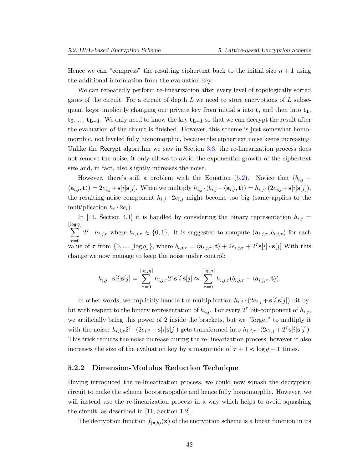<span id="page-42-1"></span>Hence we can "compress" the resulting ciphertext back to the initial size  $n + 1$  using the additional information from the evaluation key.

We can repeatedly perform re-linearization after every level of topologically sorted gates of the circuit. For a circuit of depth *L* we need to store encryptions of *L* subsequent keys, implicitly changing our private key from initial **s** into **t**, and then into **t1**, **t2**, ..., **tL***−***1**. We only need to know the key **tL***−***<sup>1</sup>** so that we can decrypt the result after the evaluation of the circuit is finished. However, this scheme is just somewhat homomorphic, not leveled fully homomorphic, because the ciphertext noise keeps increasing. Unlike the Recrypt algorithm we saw in Section [3.3,](#page-24-0) the re-linearization process does not remove the noise, it only allows to avoid the exponential growth of the ciphertext size and, in fact, also slightly increases the noise.

However, there's still a problem with the Equation  $(5.2)$  $(5.2)$ . Notice that  $(b_{i,j} - b_{i,j})$  $\langle \mathbf{a}_{i,j}, \mathbf{t} \rangle$  = 2 $e_{i,j}$  +  $\mathbf{s}[i]$   $\mathbf{s}[j]$ . When we multiply  $h_{i,j} \cdot (b_{i,j} - \langle \mathbf{a}_{i,j}, \mathbf{t} \rangle) = h_{i,j} \cdot (2e_{i,j} + \mathbf{s}[i] \mathbf{s}[j])$ , the resulting noise component  $h_{i,j} \cdot 2e_{i,j}$  might become too big (same applies to the multiplication  $h_i \cdot 2e_i$ ).

In [\[11,](#page-53-2) Section 4.1] it is handled by considering the binary representation  $h_{i,j}$  = *⌊*log ∑ *q⌋ τ*=0  $2^{\tau} \cdot h_{i,j,r}$  where  $h_{i,j,\tau} \in \{0,1\}$ . It is suggested to compute  $(\mathbf{a}_{i,j,\tau}, b_{i,j,\tau})$  for each value of  $\tau$  from  $\{0, ..., \lfloor \log q \rfloor\}$ , where  $b_{i,j,\tau} = \langle a_{i,j,\tau}, \mathbf{t} \rangle + 2e_{i,j,\tau} + 2^{\tau} \mathbf{s}[i] \cdot \mathbf{s}[j]$  With this change we now manage to keep the noise under control:

$$
h_{i,j} \cdot \mathbf{s}[i] \mathbf{s}[j] = \sum_{\tau=0}^{\lfloor \log q \rfloor} h_{i,j,\tau} 2^{\tau} \mathbf{s}[i] \mathbf{s}[j] \approx \sum_{\tau=0}^{\lfloor \log q \rfloor} h_{i,j,\tau}(b_{i,j,\tau} - \langle \mathbf{a}_{i,j,\tau}, \mathbf{t} \rangle).
$$

In other words, we implicitly handle the multiplication  $h_{i,j} \cdot (2e_{i,j} + s[i]s[j])$  bit-bybit with respect to the binary representation of  $h_{i,j}$ . For every  $2^{\tau}$  bit-component of  $h_{i,j}$ , we artificially bring this power of 2 inside the brackets, but we "forget" to multiply it with the noise:  $h_{i,j,\tau}2^{\tau} \cdot (2e_{i,j} + \mathbf{s}[i]\mathbf{s}[j])$  gets transformed into  $h_{i,j,\tau} \cdot (2e_{i,j} + 2^{\tau}\mathbf{s}[i]\mathbf{s}[j])$ . This trick reduces the noise increase during the re-linearization process, however it also increases the size of the evaluation key by a magnitude of  $\tau + 1 \approx \log q + 1$  times.

#### <span id="page-42-0"></span>**5.2.2 Dimension-Modulus Reduction Technique**

Having introduced the re-linearization process, we could now squash the decryption circuit to make the scheme bootstrappable and hence fully homomorphic. However, we will instead use the re-linearization process in a way which helps to avoid squashing the circuit, as described in [[11,](#page-53-2) Section 1.2].

The decryption function  $f_{(\mathbf{a},b)}(\mathbf{x})$  of the encryption scheme is a linear function in its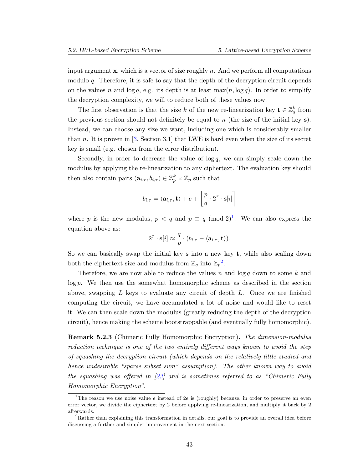<span id="page-43-2"></span>input argument **x**, which is a vector of size roughly *n*. And we perform all computations modulo *q*. Therefore, it is safe to say that the depth of the decryption circuit depends on the values *n* and  $\log q$ , e.g. its depth is at least  $\max(n, \log q)$ . In order to simplify the decryption complexity, we will to reduce both of these values now.

The first observation is that the size *k* of the new re-linearization key  $\mathbf{t} \in \mathbb{Z}_q^k$  from the previous section should not definitely be equal to *n* (the size of the initial key **s**). Instead, we can choose any size we want, including one which is considerably smaller than *n*. It is proven in [\[3,](#page-52-7) Section 3.1] that LWE is hard even when the size of its secret key is small (e.g. chosen from the error distribution).

Secondly, in order to decrease the value of  $\log q$ , we can simply scale down the modulus by applying the re-linearization to any ciphertext. The evaluation key should then also contain pairs  $(\mathbf{a}_{i,\tau}, b_{i,\tau}) \in \mathbb{Z}_p^k \times \mathbb{Z}_p$  such that

$$
b_{i,\tau} = \langle \mathbf{a}_{i,\tau}, \mathbf{t} \rangle + e + \left\lfloor \frac{p}{q} \cdot 2^{\tau} \cdot \mathbf{s}[i] \right\rceil
$$

where *p* is the new modulus,  $p < q$  and  $p \equiv q \pmod{2}^1$  $p \equiv q \pmod{2}^1$ . We can also express the equation above as:

$$
2^{\tau} \cdot \mathbf{s}[i] \approx \frac{q}{p} \cdot (b_{i,\tau} - \langle \mathbf{a}_{i,\tau}, \mathbf{t} \rangle).
$$

So we can basically swap the initial key **s** into a new key **t**, while also scaling down both the ciphertext size and modulus from  $\mathbb{Z}_q$  into  $\mathbb{Z}_p^2$  $\mathbb{Z}_p^2$ .

Therefore, we are now able to reduce the values *n* and log *q* down to some *k* and log *p*. We then use the somewhat homomorphic scheme as described in the section above, swapping *L* keys to evaluate any circuit of depth *L*. Once we are finished computing the circuit, we have accumulated a lot of noise and would like to reset it. We can then scale down the modulus (greatly reducing the depth of the decryption circuit), hence making the scheme bootstrappable (and eventually fully homomorphic).

**Remark 5.2.3** (Chimeric Fully Homomorphic Encryption)**.** *The dimension-modulus reduction technique is one of the two entirely different ways known to avoid the step of squashing the decryption circuit (which depends on the relatively little studied and hence undesirable "sparse subset sum" assumption). The other known way to avoid the squashing was offered in [\[23\]](#page-54-8) and is sometimes referred to as "Chimeric Fully Homomorphic Encryption".*

<span id="page-43-0"></span><sup>&</sup>lt;sup>1</sup>The reason we use noise value *e* instead of 2*e* is (roughly) because, in order to preserve an even error vector, we divide the ciphertext by 2 before applying re-linearization, and multiply it back by 2 afterwards.

<span id="page-43-1"></span><sup>&</sup>lt;sup>2</sup>Rather than explaining this transformation in details, our goal is to provide an overall idea before discussing a further and simpler improvement in the next section.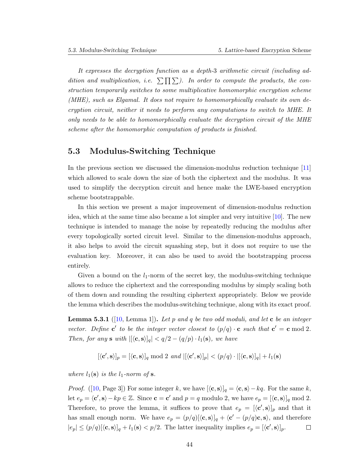<span id="page-44-1"></span>*It expresses the decryption function as a depth-*3 *arithmetic circuit (including ad*dition and multiplication, i.e.  $\sum \prod \sum$ ). In order to compute the products, the con*struction temporarily switches to some multiplicative homomorphic encryption scheme (MHE), such as Elgamal. It does not require to homomorphically evaluate its own decryption circuit, neither it needs to perform any computations to switch to MHE. It only needs to be able to homomorphically evaluate the decryption circuit of the MHE scheme after the homomorphic computation of products is finished.*

#### <span id="page-44-0"></span>**5.3 Modulus-Switching Technique**

In the previous section we discussed the dimension-modulus reduction technique [[11\]](#page-53-2) which allowed to scale down the size of both the ciphertext and the modulus. It was used to simplify the decryption circuit and hence make the LWE-based encryption scheme bootstrappable.

In this section we present a major improvement of dimension-modulus reduction idea, which at the same time also became a lot simpler and very intuitive  $[10]$  $[10]$ . The new technique is intended to manage the noise by repeatedly reducing the modulus after every topologically sorted circuit level. Similar to the dimension-modulus approach, it also helps to avoid the circuit squashing step, but it does not require to use the evaluation key. Moreover, it can also be used to avoid the bootstrapping process entirely.

Given a bound on the  $l_1$ -norm of the secret key, the modulus-switching technique allows to reduce the ciphertext and the corresponding modulus by simply scaling both of them down and rounding the resulting ciphertext appropriately. Below we provide the lemma which describes the modulus-switching technique, along with its exact proof.

**Lemma 5.3.1** ([\[10](#page-53-7), Lemma 1])**.** *Let p and q be two odd moduli, and let* **c** *be an integer vector.* Define **c**<sup> $\prime$ </sup> to be the integer vector closest to  $(p/q) \cdot \mathbf{c}$  such that  $\mathbf{c}' = \mathbf{c} \mod 2$ . *Then, for any* **s** *with*  $|[\langle \mathbf{c}, \mathbf{s} \rangle]_q| < q/2 - (q/p) \cdot l_1(\mathbf{s})$ *, we have* 

$$
[\langle \mathbf{c}', \mathbf{s} \rangle]_p = [\langle \mathbf{c}, \mathbf{s} \rangle]_q \bmod 2 \ and \ |[\langle \mathbf{c}', \mathbf{s} \rangle]_p | < (p/q) \cdot |[\langle \mathbf{c}, \mathbf{s} \rangle]_q | + l_1(\mathbf{s})
$$

*where*  $l_1(\mathbf{s})$  *is the*  $l_1$ *-norm of* **s***.* 

*Proof.* ([[10,](#page-53-7) Page 3]) For some integer *k*, we have  $[\langle \mathbf{c}, \mathbf{s} \rangle]_q = \langle \mathbf{c}, \mathbf{s} \rangle - kq$ . For the same *k*, let  $e_p = \langle \mathbf{c}', \mathbf{s} \rangle - kp \in \mathbb{Z}$ . Since  $\mathbf{c} = \mathbf{c}'$  and  $p = q$  modulo 2, we have  $e_p = [\langle \mathbf{c}, \mathbf{s} \rangle]_q$  mod 2. Therefore, to prove the lemma, it suffices to prove that  $e_p = [\langle \mathbf{c}', \mathbf{s} \rangle]_p$  and that it has small enough norm. We have  $e_p = (p/q)[\langle \mathbf{c}, \mathbf{s} \rangle]_q + \langle \mathbf{c}' - (p/q)\mathbf{c}, \mathbf{s} \rangle$ , and therefore  $|e_p| \le (p/q)[\langle \mathbf{c}, \mathbf{s} \rangle]_q + l_1(\mathbf{s}) < p/2$ . The latter inequality implies  $e_p = [\langle \mathbf{c}', \mathbf{s} \rangle]_p$ .  $\Box$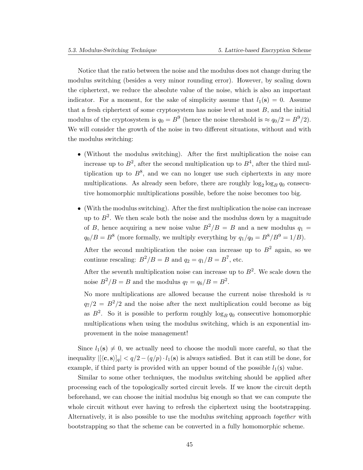Notice that the ratio between the noise and the modulus does not change during the modulus switching (besides a very minor rounding error). However, by scaling down the ciphertext, we reduce the absolute value of the noise, which is also an important indicator. For a moment, for the sake of simplicity assume that  $l_1(s) = 0$ . Assume that a fresh ciphertext of some cryptosystem has noise level at most *B*, and the initial modulus of the cryptosystem is  $q_0 = B^9$  (hence the noise threshold is  $\approx q_0/2 = B^9/2$ ). We will consider the growth of the noise in two different situations, without and with the modulus switching:

- (Without the modulus switching). After the first multiplication the noise can increase up to  $B^2$ , after the second multiplication up to  $B^4$ , after the third multiplication up to  $B^8$ , and we can no longer use such ciphertexts in any more multiplications. As already seen before, there are roughly  $\log_2 \log_B q_0$  consecutive homomorphic multiplications possible, before the noise becomes too big.
- *•* (With the modulus switching). After the first multiplication the noise can increase up to  $B^2$ . We then scale both the noise and the modulus down by a magnitude of *B*, hence acquiring a new noise value  $B^2/B = B$  and a new modulus  $q_1 =$  $q_0/B = B^8$  (more formally, we multiply everything by  $q_1/q_0 = B^8/B^9 = 1/B$ ).

After the second multiplication the noise can increase up to  $B^2$  again, so we continue rescaling:  $B^2/B = B$  and  $q_2 = q_1/B = B^7$ , etc.

After the seventh multiplication noise can increase up to  $B^2$ . We scale down the noise  $B^2/B = B$  and the modulus  $q_7 = q_6/B = B^2$ .

No more multiplications are allowed because the current noise threshold is *≈*  $q_7/2 = B^2/2$  and the noise after the next multiplication could become as big as  $B^2$ . So it is possible to perform roughly  $\log_B q_0$  consecutive homomorphic multiplications when using the modulus switching, which is an exponential improvement in the noise management!

Since  $l_1(s) \neq 0$ , we actually need to choose the moduli more careful, so that the inequality  $|[\langle \mathbf{c}, \mathbf{s} \rangle]_q| < q/2 - (q/p) \cdot l_1(\mathbf{s})$  is always satisfied. But it can still be done, for example, if third party is provided with an upper bound of the possible  $l_1(s)$  value.

Similar to some other techniques, the modulus switching should be applied after processing each of the topologically sorted circuit levels. If we know the circuit depth beforehand, we can choose the initial modulus big enough so that we can compute the whole circuit without ever having to refresh the ciphertext using the bootstrapping. Alternatively, it is also possible to use the modulus switching approach *together* with bootstrapping so that the scheme can be converted in a fully homomorphic scheme.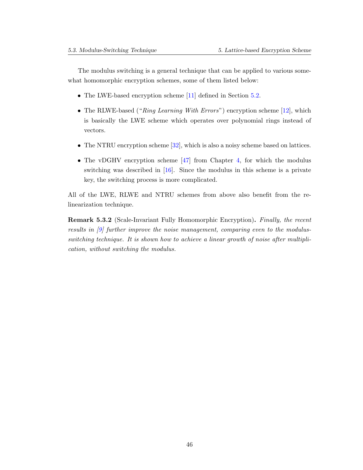<span id="page-46-0"></span>The modulus switching is a general technique that can be applied to various somewhat homomorphic encryption schemes, some of them listed below:

- The LWE-based encryption scheme [[11](#page-53-2)] defined in Section [5.2](#page-39-0).
- The RLWE-based ("*Ring Learning With Errors*") encryption scheme [[12\]](#page-53-6), which is basically the LWE scheme which operates over polynomial rings instead of vectors.
- The NTRU encryption scheme [[32\]](#page-55-8), which is also a noisy scheme based on lattices.
- The vDGHV encryption scheme [[47\]](#page-56-2) from Chapter [4](#page-29-0), for which the modulus switching was described in [\[16](#page-53-4)]. Since the modulus in this scheme is a private key, the switching process is more complicated.

All of the LWE, RLWE and NTRU schemes from above also benefit from the relinearization technique.

**Remark 5.3.2** (Scale-Invariant Fully Homomorphic Encryption)**.** *Finally, the recent results in [[9\]](#page-53-1) further improve the noise management, comparing even to the modulusswitching technique. It is shown how to achieve a linear growth of noise after multiplication, without switching the modulus.*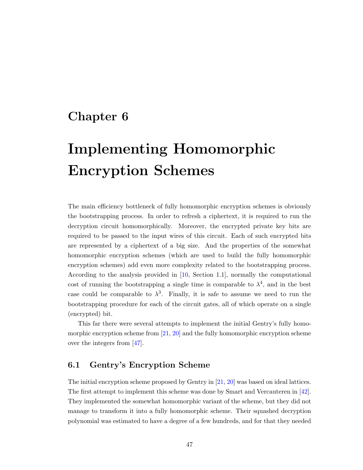### <span id="page-47-2"></span><span id="page-47-0"></span>**Chapter 6**

# **Implementing Homomorphic Encryption Schemes**

The main efficiency bottleneck of fully homomorphic encryption schemes is obviously the bootstrapping process. In order to refresh a ciphertext, it is required to run the decryption circuit homomorphically. Moreover, the encrypted private key bits are required to be passed to the input wires of this circuit. Each of such encrypted bits are represented by a ciphertext of a big size. And the properties of the somewhat homomorphic encryption schemes (which are used to build the fully homomorphic encryption schemes) add even more complexity related to the bootstrapping process. According to the analysis provided in [[10](#page-53-7), Section 1.1], normally the computational cost of running the bootstrapping a single time is comparable to  $\lambda^4$ , and in the best case could be comparable to  $\lambda^3$ . Finally, it is safe to assume we need to run the bootstrapping procedure for each of the circuit gates, all of which operate on a single (encrypted) bit.

This far there were several attempts to implement the initial Gentry's fully homomorphic encryption scheme from  $[21, 20]$  $[21, 20]$  $[21, 20]$  $[21, 20]$  and the fully homomorphic encryption scheme over the integers from [[47\]](#page-56-2).

#### <span id="page-47-1"></span>**6.1 Gentry's Encryption Scheme**

The initial encryption scheme proposed by Gentry in [\[21](#page-54-0), [20\]](#page-54-1) was based on ideal lattices. The first attempt to implement this scheme was done by Smart and Vercauteren in [[42\]](#page-56-8). They implemented the somewhat homomorphic variant of the scheme, but they did not manage to transform it into a fully homomorphic scheme. Their squashed decryption polynomial was estimated to have a degree of a few hundreds, and for that they needed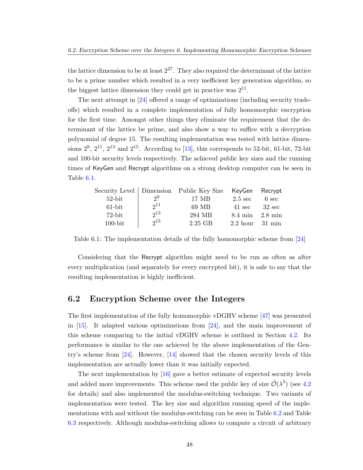<span id="page-48-1"></span>the lattice dimension to be at least  $2^{27}$ . They also required the determinant of the lattice to be a prime number which resulted in a very inefficient key generation algorithm, so the biggest lattice dimension they could get in practice was  $2^{11}$ .

The next attempt in [[24\]](#page-54-9) offered a range of optimizations (including security tradeoffs) which resulted in a complete implementation of fully homomorphic encryption for the first time. Amongst other things they eliminate the requirement that the determinant of the lattice be prime, and also show a way to suffice with a decryption polynomial of degree 15. The resulting implementation was tested with lattice dimensions  $2^9$ ,  $2^{11}$ ,  $2^{13}$  and  $2^{15}$ . According to [\[13](#page-53-8)], this corresponds to 52-bit, 61-bit, 72-bit and 100-bit security levels respectively. The achieved public key sizes and the running times of KeyGen and Recrypt algorithms on a strong desktop computer can be seen in Table [6.1](#page-47-1).

|            |          | Security Level   Dimension Public Key Size | KeyGen Recrypt      |                   |
|------------|----------|--------------------------------------------|---------------------|-------------------|
| $52$ -bit  | $2^9$    | 17 MB                                      | $2.5 \text{ sec}$   | 6 sec             |
| $61$ -bit  | $2^{11}$ | 69 MB                                      | 41 sec              | $-32$ sec         |
| $72$ -bit  | $2^{13}$ | 284 MB                                     | $8.4 \text{ min}$   | $2.8 \text{ min}$ |
| $100$ -bit | $2^{15}$ | 2.25 GB                                    | $2.2$ hour $31$ min |                   |

Table 6.1: The implementation details of the fully homomorphic scheme from [\[24](#page-54-9)]

Considering that the Recrypt algorithm might need to be run as often as after every multiplication (and separately for every encrypted bit), it is safe to say that the resulting implementation is highly inefficient.

#### <span id="page-48-0"></span>**6.2 Encryption Scheme over the Integers**

The first implementation of the fully homomorphic vDGHV scheme [[47\]](#page-56-2) was presented in  $[15]$  $[15]$ . It adapted various optimizations from  $[24]$  $[24]$ , and the main improvement of this scheme comparing to the initial vDGHV scheme is outlined in Section [4.2](#page-31-0). Its performance is similar to the one achieved by the above implementation of the Gentry's scheme from [[24\]](#page-54-9). However, [[14\]](#page-53-5) showed that the chosen security levels of this implementation are actually lower than it was initially expected.

The next implementation by [[16](#page-53-4)] gave a better estimate of expected security levels and added more improvements. This scheme used the public key of size  $\tilde{\mathcal{O}}(\lambda^5)$  (see [4.2](#page-31-0)) for details) and also implemented the modulus-switching technique. Two variants of implementation were tested. The key size and algorithm running speed of the implementations with and without the modulus-switching can be seen in Table [6.2](#page-49-1) and Table [6.3](#page-49-2) respectively. Although modulus-switching allows to compute a circuit of arbitrary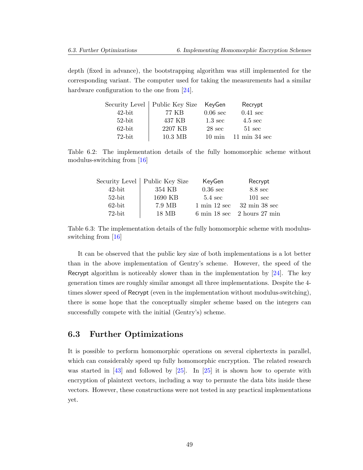<span id="page-49-3"></span>depth (fixed in advance), the bootstrapping algorithm was still implemented for the corresponding variant. The computer used for taking the measurements had a similar hardware configuration to the one from [\[24](#page-54-9)].

<span id="page-49-1"></span>

|           | Security Level   Public Key Size KeyGen |                   | Recrypt                          |
|-----------|-----------------------------------------|-------------------|----------------------------------|
| $42$ -bit | 77 KB                                   | $0.06$ sec        | $0.41 \text{ sec}$               |
| $52$ -bit | 437 KB                                  | $1.3 \text{ sec}$ | $4.5 \text{ sec}$                |
| $62$ -bit | 2207 KB                                 | $28 \text{ sec}$  | $51 \text{ sec}$                 |
| $72$ -bit | 10.3 MB                                 | $10 \text{ min}$  | $11 \text{ min } 34 \text{ sec}$ |

Table 6.2: The implementation details of the fully homomorphic scheme without modulus-switching from [[16](#page-53-4)]

<span id="page-49-2"></span>

|           | Security Level   Public Key Size | KeyGen                          | Recrypt                                                          |
|-----------|----------------------------------|---------------------------------|------------------------------------------------------------------|
| $42$ -bit | 354 KB                           | $0.36$ sec                      | 8.8 sec                                                          |
| $52$ -bit | 1690 KB                          | $5.4 \text{ sec}$               | $101 \text{ sec}$                                                |
| $62$ -bit | 7.9 MB                           | $1 \text{ min } 12 \text{ sec}$ | $32 \text{ min } 38 \text{ sec}$                                 |
| $72$ -bit | 18 MB                            |                                 | $6 \text{ min } 18 \text{ sec } 2 \text{ hours } 27 \text{ min}$ |

Table 6.3: The implementation details of the fully homomorphic scheme with modulusswitching from [[16](#page-53-4)]

It can be observed that the public key size of both implementations is a lot better than in the above implementation of Gentry's scheme. However, the speed of the Recrypt algorithm is noticeably slower than in the implementation by  $[24]$  $[24]$ . The key generation times are roughly similar amongst all three implementations. Despite the 4 times slower speed of Recrypt (even in the implementation without modulus-switching), there is some hope that the conceptually simpler scheme based on the integers can successfully compete with the initial (Gentry's) scheme.

#### <span id="page-49-0"></span>**6.3 Further Optimizations**

It is possible to perform homomorphic operations on several ciphertexts in parallel, which can considerably speed up fully homomorphic encryption. The related research was started in  $[43]$  $[43]$  and followed by  $[25]$  $[25]$ . In  $[25]$  it is shown how to operate with encryption of plaintext vectors, including a way to permute the data bits inside these vectors. However, these constructions were not tested in any practical implementations yet.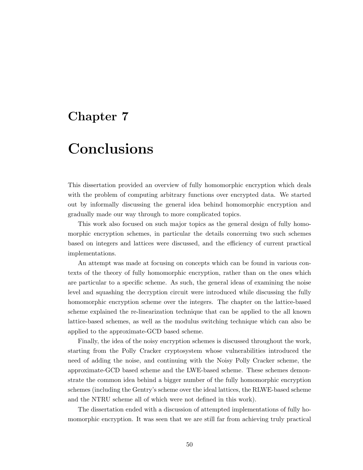### <span id="page-50-0"></span>**Chapter 7**

## **Conclusions**

This dissertation provided an overview of fully homomorphic encryption which deals with the problem of computing arbitrary functions over encrypted data. We started out by informally discussing the general idea behind homomorphic encryption and gradually made our way through to more complicated topics.

This work also focused on such major topics as the general design of fully homomorphic encryption schemes, in particular the details concerning two such schemes based on integers and lattices were discussed, and the efficiency of current practical implementations.

An attempt was made at focusing on concepts which can be found in various contexts of the theory of fully homomorphic encryption, rather than on the ones which are particular to a specific scheme. As such, the general ideas of examining the noise level and squashing the decryption circuit were introduced while discussing the fully homomorphic encryption scheme over the integers. The chapter on the lattice-based scheme explained the re-linearization technique that can be applied to the all known lattice-based schemes, as well as the modulus switching technique which can also be applied to the approximate-GCD based scheme.

Finally, the idea of the noisy encryption schemes is discussed throughout the work, starting from the Polly Cracker cryptosystem whose vulnerabilities introduced the need of adding the noise, and continuing with the Noisy Polly Cracker scheme, the approximate-GCD based scheme and the LWE-based scheme. These schemes demonstrate the common idea behind a bigger number of the fully homomorphic encryption schemes (including the Gentry's scheme over the ideal lattices, the RLWE-based scheme and the NTRU scheme all of which were not defined in this work).

The dissertation ended with a discussion of attempted implementations of fully homomorphic encryption. It was seen that we are still far from achieving truly practical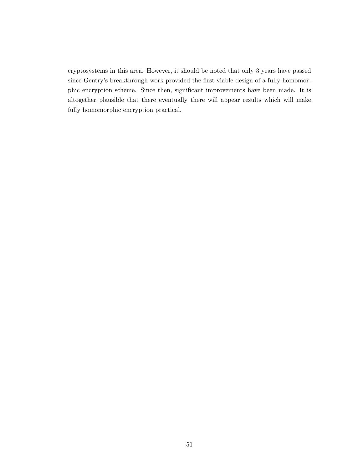cryptosystems in this area. However, it should be noted that only 3 years have passed since Gentry's breakthrough work provided the first viable design of a fully homomorphic encryption scheme. Since then, significant improvements have been made. It is altogether plausible that there eventually there will appear results which will make fully homomorphic encryption practical.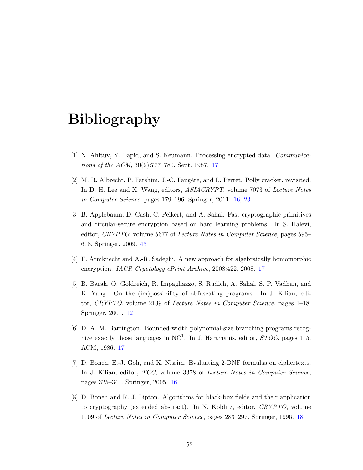## **Bibliography**

- <span id="page-52-5"></span>[1] N. Ahituv, Y. Lapid, and S. Neumann. Processing encrypted data. *Communications of the ACM*, 30(9):777–780, Sept. 1987. [17](#page-17-1)
- <span id="page-52-1"></span>[2] M. R. Albrecht, P. Farshim, J.-C. Faugère, and L. Perret. Polly cracker, revisited. In D. H. Lee and X. Wang, editors, *ASIACRYPT*, volume 7073 of *Lecture Notes in Computer Science*, pages 179–196. Springer, 2011. [16,](#page-16-2) [23](#page-23-1)
- <span id="page-52-7"></span>[3] B. Applebaum, D. Cash, C. Peikert, and A. Sahai. Fast cryptographic primitives and circular-secure encryption based on hard learning problems. In S. Halevi, editor, *CRYPTO*, volume 5677 of *Lecture Notes in Computer Science*, pages 595– 618. Springer, 2009. [43](#page-43-2)
- <span id="page-52-3"></span>[4] F. Armknecht and A.-R. Sadeghi. A new approach for algebraically homomorphic encryption. *IACR Cryptology ePrint Archive*, 2008:422, 2008. [17](#page-17-1)
- <span id="page-52-0"></span>[5] B. Barak, O. Goldreich, R. Impagliazzo, S. Rudich, A. Sahai, S. P. Vadhan, and K. Yang. On the (im)possibility of obfuscating programs. In J. Kilian, editor, *CRYPTO*, volume 2139 of *Lecture Notes in Computer Science*, pages 1–18. Springer, 2001. [12](#page-12-2)
- <span id="page-52-4"></span>[6] D. A. M. Barrington. Bounded-width polynomial-size branching programs recognize exactly those languages in NC<sup>1</sup>. In J. Hartmanis, editor, *STOC*, pages 1–5. ACM, 1986. [17](#page-17-1)
- <span id="page-52-2"></span>[7] D. Boneh, E.-J. Goh, and K. Nissim. Evaluating 2-DNF formulas on ciphertexts. In J. Kilian, editor, *TCC*, volume 3378 of *Lecture Notes in Computer Science*, pages 325–341. Springer, 2005. [16](#page-16-2)
- <span id="page-52-6"></span>[8] D. Boneh and R. J. Lipton. Algorithms for black-box fields and their application to cryptography (extended abstract). In N. Koblitz, editor, *CRYPTO*, volume 1109 of *Lecture Notes in Computer Science*, pages 283–297. Springer, 1996. [18](#page-18-0)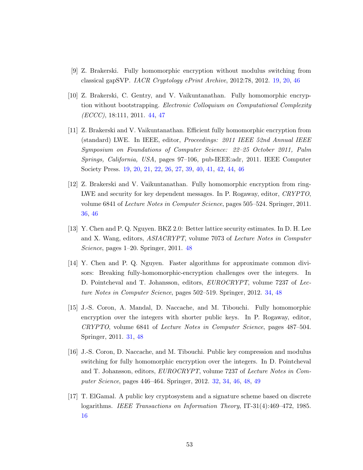- <span id="page-53-1"></span>[9] Z. Brakerski. Fully homomorphic encryption without modulus switching from classical gapSVP. *IACR Cryptology ePrint Archive*, 2012:78, 2012. [19](#page-19-2), [20,](#page-20-0) [46](#page-46-0)
- <span id="page-53-7"></span>[10] Z. Brakerski, C. Gentry, and V. Vaikuntanathan. Fully homomorphic encryption without bootstrapping. *Electronic Colloquium on Computational Complexity (ECCC)*, 18:111, 2011. [44,](#page-44-1) [47](#page-47-2)
- <span id="page-53-2"></span>[11] Z. Brakerski and V. Vaikuntanathan. Efficient fully homomorphic encryption from (standard) LWE. In IEEE, editor, *Proceedings: 2011 IEEE 52nd Annual IEEE Symposium on Foundations of Computer Science: 22–25 October 2011, Palm Springs, California, USA*, pages 97–106, pub-IEEE:adr, 2011. IEEE Computer Society Press. [19,](#page-19-2) [20](#page-20-0), [21,](#page-21-0) [22](#page-22-0), [26](#page-26-1), [27,](#page-27-3) [39](#page-39-1), [40,](#page-40-0) [41](#page-41-3), [42,](#page-42-1) [44,](#page-44-1) [46](#page-46-0)
- <span id="page-53-6"></span>[12] Z. Brakerski and V. Vaikuntanathan. Fully homomorphic encryption from ring-LWE and security for key dependent messages. In P. Rogaway, editor, *CRYPTO*, volume 6841 of *Lecture Notes in Computer Science*, pages 505–524. Springer, 2011. [36,](#page-36-2) [46](#page-46-0)
- <span id="page-53-8"></span>[13] Y. Chen and P. Q. Nguyen. BKZ 2.0: Better lattice security estimates. In D. H. Lee and X. Wang, editors, *ASIACRYPT*, volume 7073 of *Lecture Notes in Computer Science*, pages 1–20. Springer, 2011. [48](#page-48-1)
- <span id="page-53-5"></span>[14] Y. Chen and P. Q. Nguyen. Faster algorithms for approximate common divisors: Breaking fully-homomorphic-encryption challenges over the integers. In D. Pointcheval and T. Johansson, editors, *EUROCRYPT*, volume 7237 of *Lecture Notes in Computer Science*, pages 502–519. Springer, 2012. [34](#page-34-2), [48](#page-48-1)
- <span id="page-53-3"></span>[15] J.-S. Coron, A. Mandal, D. Naccache, and M. Tibouchi. Fully homomorphic encryption over the integers with shorter public keys. In P. Rogaway, editor, *CRYPTO*, volume 6841 of *Lecture Notes in Computer Science*, pages 487–504. Springer, 2011. [31](#page-31-1), [48](#page-48-1)
- <span id="page-53-4"></span>[16] J.-S. Coron, D. Naccache, and M. Tibouchi. Public key compression and modulus switching for fully homomorphic encryption over the integers. In D. Pointcheval and T. Johansson, editors, *EUROCRYPT*, volume 7237 of *Lecture Notes in Computer Science*, pages 446–464. Springer, 2012. [32](#page-32-2), [34,](#page-34-2) [46](#page-46-0), [48,](#page-48-1) [49](#page-49-3)
- <span id="page-53-0"></span>[17] T. ElGamal. A public key cryptosystem and a signature scheme based on discrete logarithms. *IEEE Transactions on Information Theory*, IT-31(4):469–472, 1985. [16](#page-16-2)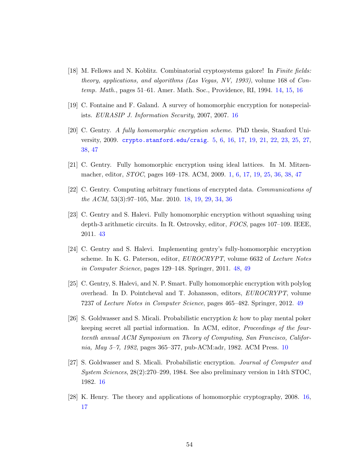- <span id="page-54-3"></span>[18] M. Fellows and N. Koblitz. Combinatorial cryptosystems galore! In *Finite fields: theory, applications, and algorithms (Las Vegas, NV, 1993)*, volume 168 of *Contemp. Math.*, pages 51–61. Amer. Math. Soc., Providence, RI, 1994. [14,](#page-14-1) [15](#page-15-0), [16](#page-16-2)
- <span id="page-54-4"></span>[19] C. Fontaine and F. Galand. A survey of homomorphic encryption for nonspecialists. *EURASIP J. Information Security*, 2007, 2007. [16](#page-16-2)
- <span id="page-54-1"></span>[20] C. Gentry. *A fully homomorphic encryption scheme*. PhD thesis, Stanford University, 2009. <crypto.stanford.edu/craig>. [5,](#page-5-1) [6,](#page-6-2) [16,](#page-16-2) [17,](#page-17-1) [19](#page-19-2), [21](#page-21-0), [22](#page-22-0), [23,](#page-23-1) [25,](#page-25-0) [27,](#page-27-3) [38,](#page-38-2) [47](#page-47-2)
- <span id="page-54-0"></span>[21] C. Gentry. Fully homomorphic encryption using ideal lattices. In M. Mitzenmacher, editor, *STOC*, pages 169–178. ACM, 2009. [1](#page-1-0), [6,](#page-6-2) [17](#page-17-1), [19,](#page-19-2) [25](#page-25-0), [36,](#page-36-2) [38](#page-38-2), [47](#page-47-2)
- <span id="page-54-7"></span>[22] C. Gentry. Computing arbitrary functions of encrypted data. *Communications of the ACM*, 53(3):97–105, Mar. 2010. [18](#page-18-0), [19,](#page-19-2) [29,](#page-29-2) [34](#page-34-2), [36](#page-36-2)
- <span id="page-54-8"></span>[23] C. Gentry and S. Halevi. Fully homomorphic encryption without squashing using depth-3 arithmetic circuits. In R. Ostrovsky, editor, *FOCS*, pages 107–109. IEEE, 2011. [43](#page-43-2)
- <span id="page-54-9"></span>[24] C. Gentry and S. Halevi. Implementing gentry's fully-homomorphic encryption scheme. In K. G. Paterson, editor, *EUROCRYPT*, volume 6632 of *Lecture Notes in Computer Science*, pages 129–148. Springer, 2011. [48,](#page-48-1) [49](#page-49-3)
- <span id="page-54-10"></span>[25] C. Gentry, S. Halevi, and N. P. Smart. Fully homomorphic encryption with polylog overhead. In D. Pointcheval and T. Johansson, editors, *EUROCRYPT*, volume 7237 of *Lecture Notes in Computer Science*, pages 465–482. Springer, 2012. [49](#page-49-3)
- <span id="page-54-2"></span>[26] S. Goldwasser and S. Micali. Probabilistic encryption & how to play mental poker keeping secret all partial information. In ACM, editor, *Proceedings of the fourteenth annual ACM Symposium on Theory of Computing, San Francisco, California, May 5–7, 1982*, pages 365–377, pub-ACM:adr, 1982. ACM Press. [10](#page-10-0)
- <span id="page-54-6"></span>[27] S. Goldwasser and S. Micali. Probabilistic encryption. *Journal of Computer and System Sciences*, 28(2):270–299, 1984. See also preliminary version in 14th STOC, 1982. [16](#page-16-2)
- <span id="page-54-5"></span>[28] K. Henry. The theory and applications of homomorphic cryptography, 2008. [16,](#page-16-2) [17](#page-17-1)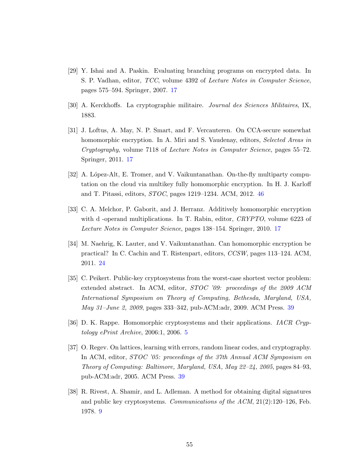- <span id="page-55-3"></span>[29] Y. Ishai and A. Paskin. Evaluating branching programs on encrypted data. In S. P. Vadhan, editor, *TCC*, volume 4392 of *Lecture Notes in Computer Science*, pages 575–594. Springer, 2007. [17](#page-17-1)
- [30] A. Kerckhoffs. La cryptographie militaire. *Journal des Sciences Militaires*, IX, 1883.
- <span id="page-55-4"></span>[31] J. Loftus, A. May, N. P. Smart, and F. Vercauteren. On CCA-secure somewhat homomorphic encryption. In A. Miri and S. Vaudenay, editors, *Selected Areas in Cryptography*, volume 7118 of *Lecture Notes in Computer Science*, pages 55–72. Springer, 2011. [17](#page-17-1)
- <span id="page-55-8"></span>[32] A. López-Alt, E. Tromer, and V. Vaikuntanathan. On-the-fly multiparty computation on the cloud via multikey fully homomorphic encryption. In H. J. Karloff and T. Pitassi, editors, *STOC*, pages 1219–1234. ACM, 2012. [46](#page-46-0)
- <span id="page-55-2"></span>[33] C. A. Melchor, P. Gaborit, and J. Herranz. Additively homomorphic encryption with d -operand multiplications. In T. Rabin, editor, *CRYPTO*, volume 6223 of *Lecture Notes in Computer Science*, pages 138–154. Springer, 2010. [17](#page-17-1)
- <span id="page-55-5"></span>[34] M. Naehrig, K. Lauter, and V. Vaikuntanathan. Can homomorphic encryption be practical? In C. Cachin and T. Ristenpart, editors, *CCSW*, pages 113–124. ACM, 2011. [24](#page-24-1)
- <span id="page-55-7"></span>[35] C. Peikert. Public-key cryptosystems from the worst-case shortest vector problem: extended abstract. In ACM, editor, *STOC '09: proceedings of the 2009 ACM International Symposium on Theory of Computing, Bethesda, Maryland, USA, May 31–June 2, 2009*, pages 333–342, pub-ACM:adr, 2009. ACM Press. [39](#page-39-1)
- <span id="page-55-0"></span>[36] D. K. Rappe. Homomorphic cryptosystems and their applications. *IACR Cryptology ePrint Archive*, 2006:1, 2006. [5](#page-5-1)
- <span id="page-55-6"></span>[37] O. Regev. On lattices, learning with errors, random linear codes, and cryptography. In ACM, editor, *STOC '05: proceedings of the 37th Annual ACM Symposium on Theory of Computing: Baltimore, Maryland, USA, May 22–24, 2005*, pages 84–93, pub-ACM:adr, 2005. ACM Press. [39](#page-39-1)
- <span id="page-55-1"></span>[38] R. Rivest, A. Shamir, and L. Adleman. A method for obtaining digital signatures and public key cryptosystems. *Communications of the ACM*, 21(2):120–126, Feb. 1978. [9](#page-9-0)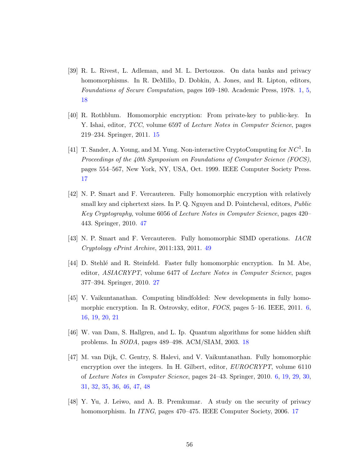- <span id="page-56-0"></span>[39] R. L. Rivest, L. Adleman, and M. L. Dertouzos. On data banks and privacy homomorphisms. In R. DeMillo, D. Dobkin, A. Jones, and R. Lipton, editors, *Foundations of Secure Computation*, pages 169–180. Academic Press, 1978. [1](#page-1-0), [5,](#page-5-1) [18](#page-18-0)
- <span id="page-56-3"></span>[40] R. Rothblum. Homomorphic encryption: From private-key to public-key. In Y. Ishai, editor, *TCC*, volume 6597 of *Lecture Notes in Computer Science*, pages 219–234. Springer, 2011. [15](#page-15-0)
- <span id="page-56-4"></span>[41] T. Sander, A. Young, and M. Yung. Non-interactive CryptoComputing for *NC*<sup>1</sup> . In *Proceedings of the 40th Symposium on Foundations of Computer Science (FOCS)*, pages 554–567, New York, NY, USA, Oct. 1999. IEEE Computer Society Press. [17](#page-17-1)
- <span id="page-56-8"></span>[42] N. P. Smart and F. Vercauteren. Fully homomorphic encryption with relatively small key and ciphertext sizes. In P. Q. Nguyen and D. Pointcheval, editors, *Public Key Cryptography*, volume 6056 of *Lecture Notes in Computer Science*, pages 420– 443. Springer, 2010. [47](#page-47-2)
- <span id="page-56-9"></span>[43] N. P. Smart and F. Vercauteren. Fully homomorphic SIMD operations. *IACR Cryptology ePrint Archive*, 2011:133, 2011. [49](#page-49-3)
- <span id="page-56-7"></span>[44] D. Stehlé and R. Steinfeld. Faster fully homomorphic encryption. In M. Abe, editor, *ASIACRYPT*, volume 6477 of *Lecture Notes in Computer Science*, pages 377–394. Springer, 2010. [27](#page-27-3)
- <span id="page-56-1"></span>[45] V. Vaikuntanathan. Computing blindfolded: New developments in fully homomorphic encryption. In R. Ostrovsky, editor, *FOCS*, pages 5–16. IEEE, 2011. [6,](#page-6-2) [16,](#page-16-2) [19](#page-19-2), [20](#page-20-0), [21](#page-21-0)
- <span id="page-56-6"></span>[46] W. van Dam, S. Hallgren, and L. Ip. Quantum algorithms for some hidden shift problems. In *SODA*, pages 489–498. ACM/SIAM, 2003. [18](#page-18-0)
- <span id="page-56-2"></span>[47] M. van Dijk, C. Gentry, S. Halevi, and V. Vaikuntanathan. Fully homomorphic encryption over the integers. In H. Gilbert, editor, *EUROCRYPT*, volume 6110 of *Lecture Notes in Computer Science*, pages 24–43. Springer, 2010. [6](#page-6-2), [19,](#page-19-2) [29](#page-29-2), [30,](#page-30-3) [31,](#page-31-1) [32](#page-32-2), [35](#page-35-1), [36,](#page-36-2) [46](#page-46-0), [47,](#page-47-2) [48](#page-48-1)
- <span id="page-56-5"></span>[48] Y. Yu, J. Leiwo, and A. B. Premkumar. A study on the security of privacy homomorphism. In *ITNG*, pages 470–475. IEEE Computer Society, 2006. [17](#page-17-1)